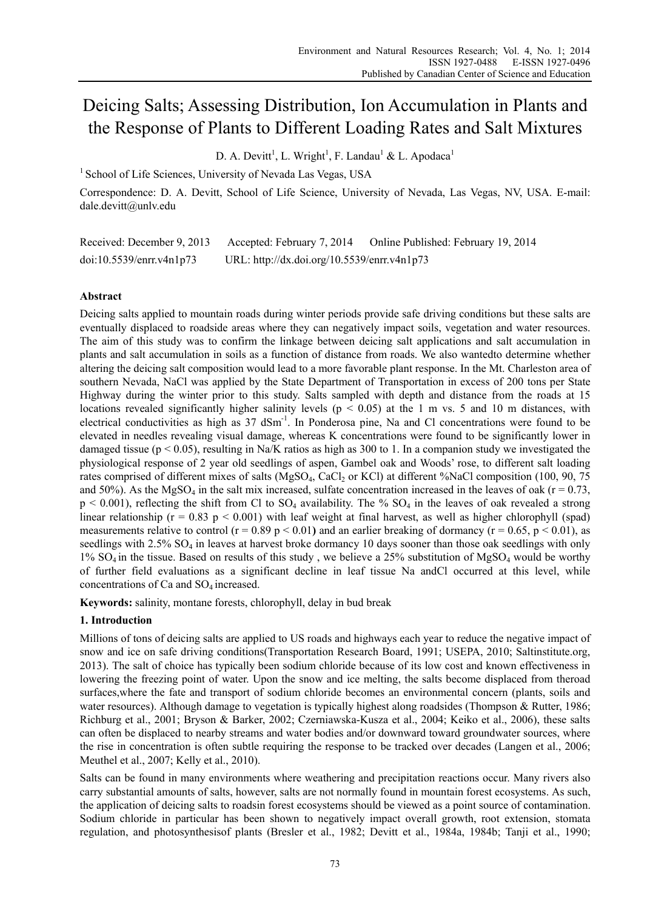# Deicing Salts; Assessing Distribution, Ion Accumulation in Plants and the Response of Plants to Different Loading Rates and Salt Mixtures

D. A. Devitt<sup>1</sup>, L. Wright<sup>1</sup>, F. Landau<sup>1</sup> & L. Apodaca<sup>1</sup>

<sup>1</sup> School of Life Sciences, University of Nevada Las Vegas, USA

Correspondence: D. A. Devitt, School of Life Science, University of Nevada, Las Vegas, NV, USA. E-mail: dale.devitt@unlv.edu

| Received: December 9, 2013 | Accepted: February 7, 2014                  | Online Published: February 19, 2014 |
|----------------------------|---------------------------------------------|-------------------------------------|
| doi:10.5539/enrr.v4n1p73   | URL: http://dx.doi.org/10.5539/enrr.v4n1p73 |                                     |

# **Abstract**

Deicing salts applied to mountain roads during winter periods provide safe driving conditions but these salts are eventually displaced to roadside areas where they can negatively impact soils, vegetation and water resources. The aim of this study was to confirm the linkage between deicing salt applications and salt accumulation in plants and salt accumulation in soils as a function of distance from roads. We also wantedto determine whether altering the deicing salt composition would lead to a more favorable plant response. In the Mt. Charleston area of southern Nevada, NaCl was applied by the State Department of Transportation in excess of 200 tons per State Highway during the winter prior to this study. Salts sampled with depth and distance from the roads at 15 locations revealed significantly higher salinity levels ( $p < 0.05$ ) at the 1 m vs. 5 and 10 m distances, with electrical conductivities as high as 37 dSm<sup>-1</sup>. In Ponderosa pine, Na and Cl concentrations were found to be elevated in needles revealing visual damage, whereas K concentrations were found to be significantly lower in damaged tissue ( $p < 0.05$ ), resulting in Na/K ratios as high as 300 to 1. In a companion study we investigated the physiological response of 2 year old seedlings of aspen, Gambel oak and Woods' rose, to different salt loading rates comprised of different mixes of salts (MgSO<sub>4</sub>, CaCl<sub>2</sub> or KCl) at different %NaCl composition (100, 90, 75 and 50%). As the MgSO<sub>4</sub> in the salt mix increased, sulfate concentration increased in the leaves of oak ( $r = 0.73$ ,  $p \le 0.001$ , reflecting the shift from Cl to  $SO_4$  availability. The %  $SO_4$  in the leaves of oak revealed a strong linear relationship ( $r = 0.83$  p < 0.001) with leaf weight at final harvest, as well as higher chlorophyll (spad) measurements relative to control ( $r = 0.89$  p < 0.01) and an earlier breaking of dormancy ( $r = 0.65$ , p < 0.01), as seedlings with 2.5% SO<sub>4</sub> in leaves at harvest broke dormancy 10 days sooner than those oak seedlings with only  $1\%$  SO<sub>4</sub> in the tissue. Based on results of this study, we believe a 25% substitution of MgSO<sub>4</sub> would be worthy of further field evaluations as a significant decline in leaf tissue Na andCl occurred at this level, while concentrations of Ca and SO<sub>4</sub> increased.

**Keywords:** salinity, montane forests, chlorophyll, delay in bud break

# **1. Introduction**

Millions of tons of deicing salts are applied to US roads and highways each year to reduce the negative impact of snow and ice on safe driving conditions(Transportation Research Board, 1991; USEPA, 2010; Saltinstitute.org, 2013). The salt of choice has typically been sodium chloride because of its low cost and known effectiveness in lowering the freezing point of water. Upon the snow and ice melting, the salts become displaced from theroad surfaces,where the fate and transport of sodium chloride becomes an environmental concern (plants, soils and water resources). Although damage to vegetation is typically highest along roadsides (Thompson & Rutter, 1986; Richburg et al., 2001; Bryson & Barker, 2002; Czerniawska-Kusza et al., 2004; Keiko et al., 2006), these salts can often be displaced to nearby streams and water bodies and/or downward toward groundwater sources, where the rise in concentration is often subtle requiring the response to be tracked over decades (Langen et al., 2006; Meuthel et al., 2007; Kelly et al., 2010).

Salts can be found in many environments where weathering and precipitation reactions occur. Many rivers also carry substantial amounts of salts, however, salts are not normally found in mountain forest ecosystems. As such, the application of deicing salts to roadsin forest ecosystems should be viewed as a point source of contamination. Sodium chloride in particular has been shown to negatively impact overall growth, root extension, stomata regulation, and photosynthesisof plants (Bresler et al., 1982; Devitt et al., 1984a, 1984b; Tanji et al., 1990;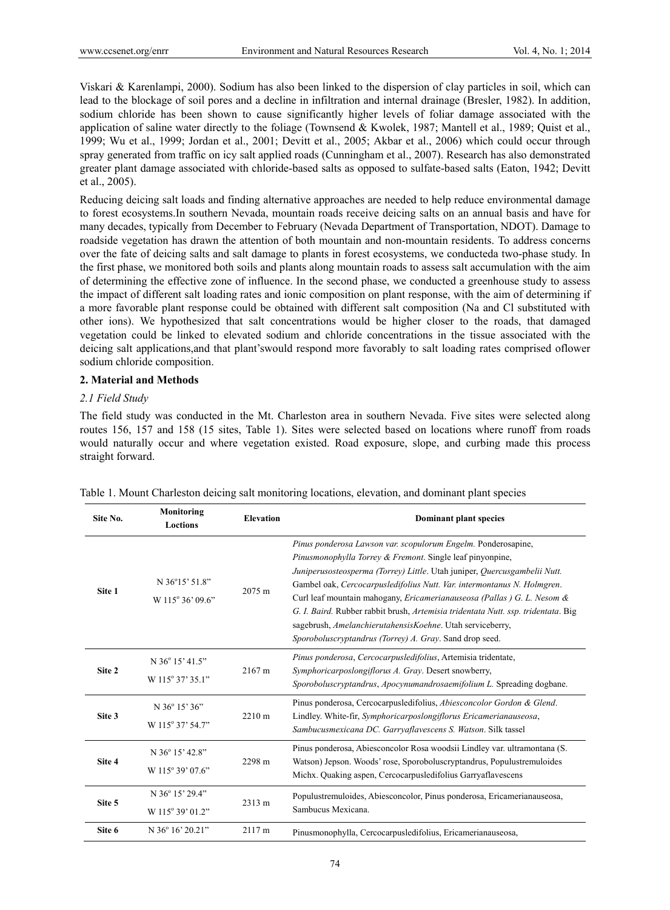Viskari & Karenlampi, 2000). Sodium has also been linked to the dispersion of clay particles in soil, which can lead to the blockage of soil pores and a decline in infiltration and internal drainage (Bresler, 1982). In addition, sodium chloride has been shown to cause significantly higher levels of foliar damage associated with the application of saline water directly to the foliage (Townsend & Kwolek, 1987; Mantell et al., 1989; Quist et al., 1999; Wu et al., 1999; Jordan et al., 2001; Devitt et al., 2005; Akbar et al., 2006) which could occur through spray generated from traffic on icy salt applied roads (Cunningham et al., 2007). Research has also demonstrated greater plant damage associated with chloride-based salts as opposed to sulfate-based salts (Eaton, 1942; Devitt et al., 2005).

Reducing deicing salt loads and finding alternative approaches are needed to help reduce environmental damage to forest ecosystems.In southern Nevada, mountain roads receive deicing salts on an annual basis and have for many decades, typically from December to February (Nevada Department of Transportation, NDOT). Damage to roadside vegetation has drawn the attention of both mountain and non-mountain residents. To address concerns over the fate of deicing salts and salt damage to plants in forest ecosystems, we conducteda two-phase study. In the first phase, we monitored both soils and plants along mountain roads to assess salt accumulation with the aim of determining the effective zone of influence. In the second phase, we conducted a greenhouse study to assess the impact of different salt loading rates and ionic composition on plant response, with the aim of determining if a more favorable plant response could be obtained with different salt composition (Na and Cl substituted with other ions). We hypothesized that salt concentrations would be higher closer to the roads, that damaged vegetation could be linked to elevated sodium and chloride concentrations in the tissue associated with the deicing salt applications,and that plant'swould respond more favorably to salt loading rates comprised oflower sodium chloride composition.

#### **2. Material and Methods**

## *2.1 Field Study*

The field study was conducted in the Mt. Charleston area in southern Nevada. Five sites were selected along routes 156, 157 and 158 (15 sites, Table 1). Sites were selected based on locations where runoff from roads would naturally occur and where vegetation existed. Road exposure, slope, and curbing made this process straight forward.

| Site No. | Monitoring<br><b>Loctions</b>                                    | <b>Elevation</b> | <b>Dominant plant species</b>                                                                                                                                                                                                                                                                                                                                                                                                                                                                                                                                                        |  |
|----------|------------------------------------------------------------------|------------------|--------------------------------------------------------------------------------------------------------------------------------------------------------------------------------------------------------------------------------------------------------------------------------------------------------------------------------------------------------------------------------------------------------------------------------------------------------------------------------------------------------------------------------------------------------------------------------------|--|
| Site 1   | $N$ 36°15' 51.8"<br>W 115° 36' 09.6"                             | $2075 \text{ m}$ | Pinus ponderosa Lawson var. scopulorum Engelm. Ponderosapine,<br>Pinusmonophylla Torrey & Fremont. Single leaf pinyonpine,<br>Juniperusosteosperma (Torrey) Little. Utah juniper, Quercusgambelii Nutt.<br>Gambel oak, Cercocarpusledifolius Nutt. Var. intermontanus N. Holmgren.<br>Curl leaf mountain mahogany, <i>Ericamerianauseosa (Pallas) G. L. Nesom &amp;</i><br>G. I. Baird. Rubber rabbit brush, Artemisia tridentata Nutt. ssp. tridentata. Big<br>sagebrush, AmelanchierutahensisKoehne. Utah serviceberry,<br>Sporoboluscryptandrus (Torrey) A. Gray. Sand drop seed. |  |
| Site 2   | $N$ 36 $\degree$ 15 $\degree$ 41.5 $\degree$<br>W 115° 37' 35.1" | 2167 m           | Pinus ponderosa, Cercocarpusledifolius, Artemisia tridentate,<br>Symphoricarposlongiflorus A. Gray. Desert snowberry,<br>Sporoboluscryptandrus, Apocynumandrosaemifolium L. Spreading dogbane.                                                                                                                                                                                                                                                                                                                                                                                       |  |
| Site 3   | $N$ 36 $\degree$ 15' 36"<br>W 115° 37' 54.7"                     | 2210 m           | Pinus ponderosa, Cercocarpusledifolius, Abiesconcolor Gordon & Glend.<br>Lindley. White-fir, Symphoricarposlongiflorus Ericamerianauseosa,<br>Sambucusmexicana DC. Garryaflavescens S. Watson. Silk tassel                                                                                                                                                                                                                                                                                                                                                                           |  |
| Site 4   | N 36° 15' 42.8"<br>W 115° 39' 07.6"                              | 2298 m           | Pinus ponderosa, Abiesconcolor Rosa woodsii Lindley var. ultramontana (S.<br>Watson) Jepson. Woods' rose, Sporoboluscryptandrus, Populustremuloides<br>Michx. Quaking aspen, Cercocarpusledifolius Garryaflavescens                                                                                                                                                                                                                                                                                                                                                                  |  |
| Site 5   | N 36° 15' 29.4"<br>W 115° 39' 01.2"                              | 2313 m           | Populustremuloides, Abiesconcolor, Pinus ponderosa, Ericamerianauseosa,<br>Sambucus Mexicana.                                                                                                                                                                                                                                                                                                                                                                                                                                                                                        |  |
| Site 6   | N 36° 16' 20.21"                                                 | 2117 m           | Pinusmonophylla, Cercocarpusledifolius, Ericamerianauseosa,                                                                                                                                                                                                                                                                                                                                                                                                                                                                                                                          |  |

Table 1. Mount Charleston deicing salt monitoring locations, elevation, and dominant plant species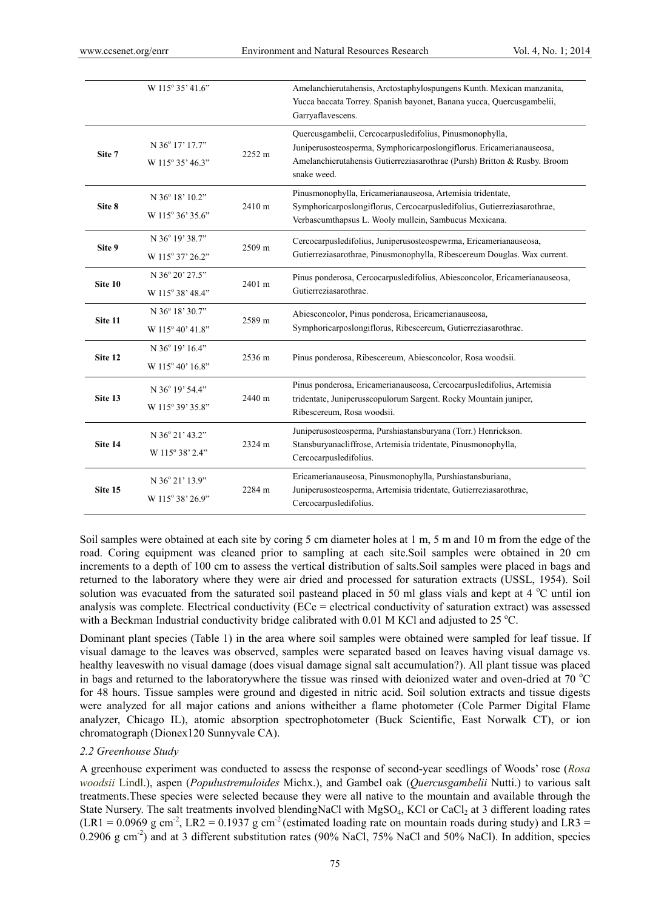|         | W 115° 35' 41.6"                    |        | Amelanchierutahensis, Arctostaphylospungens Kunth. Mexican manzanita,<br>Yucca baccata Torrey. Spanish bayonet, Banana yucca, Quercusgambelii,<br>Garryaflavescens.                                                         |
|---------|-------------------------------------|--------|-----------------------------------------------------------------------------------------------------------------------------------------------------------------------------------------------------------------------------|
| Site 7  | N 36° 17' 17.7"<br>W 115° 35' 46.3" | 2252 m | Quercusgambelii, Cercocarpusledifolius, Pinusmonophylla,<br>Juniperusosteosperma, Symphoricarposlongiflorus. Ericamerianauseosa,<br>Amelanchierutahensis Gutierreziasarothrae (Pursh) Britton & Rusby. Broom<br>snake weed. |
| Site 8  | N 36° 18' 10.2"<br>W 115° 36' 35.6" | 2410 m | Pinusmonophylla, Ericamerianauseosa, Artemisia tridentate,<br>Symphoricarposlongiflorus, Cercocarpusledifolius, Gutierreziasarothrae,<br>Verbascumthapsus L. Wooly mullein, Sambucus Mexicana.                              |
| Site 9  | N 36° 19' 38.7"<br>W 115° 37' 26.2" | 2509 m | Cercocarpusledifolius, Juniperusosteospewrma, Ericamerianauseosa,<br>Gutierreziasarothrae, Pinusmonophylla, Ribescereum Douglas. Wax current.                                                                               |
| Site 10 | N 36° 20' 27.5"<br>W 115° 38' 48.4" | 2401 m | Pinus ponderosa, Cercocarpusledifolius, Abiesconcolor, Ericamerianauseosa,<br>Gutierreziasarothrae.                                                                                                                         |
| Site 11 | N 36° 18' 30.7"<br>W 115° 40' 41.8" | 2589 m | Abiesconcolor, Pinus ponderosa, Ericamerianauseosa,<br>Symphoricarposlongiflorus, Ribescereum, Gutierreziasarothrae.                                                                                                        |
| Site 12 | N 36° 19' 16.4"<br>W 115° 40' 16.8" | 2536 m | Pinus ponderosa, Ribescereum, Abiesconcolor, Rosa woodsii.                                                                                                                                                                  |
| Site 13 | N 36° 19' 54.4"<br>W 115° 39' 35.8" | 2440 m | Pinus ponderosa, Ericamerianauseosa, Cercocarpusledifolius, Artemisia<br>tridentate, Juniperusscopulorum Sargent. Rocky Mountain juniper,<br>Ribescereum, Rosa woodsii.                                                     |
| Site 14 | N 36° 21' 43.2"<br>W 115° 38' 2.4"  | 2324 m | Juniperusosteosperma, Purshiastansburyana (Torr.) Henrickson.<br>Stansburyanacliffrose, Artemisia tridentate, Pinusmonophylla,<br>Cercocarpusledifolius.                                                                    |
| Site 15 | N 36° 21' 13.9"<br>W 115° 38' 26.9" | 2284 m | Ericamerianauseosa, Pinusmonophylla, Purshiastansburiana,<br>Juniperusosteosperma, Artemisia tridentate, Gutierreziasarothrae,<br>Cercocarpusledifolius.                                                                    |

Soil samples were obtained at each site by coring 5 cm diameter holes at 1 m, 5 m and 10 m from the edge of the road. Coring equipment was cleaned prior to sampling at each site.Soil samples were obtained in 20 cm increments to a depth of 100 cm to assess the vertical distribution of salts.Soil samples were placed in bags and returned to the laboratory where they were air dried and processed for saturation extracts (USSL, 1954). Soil solution was evacuated from the saturated soil pasteand placed in 50 ml glass vials and kept at 4  $^{\circ}$ C until ion analysis was complete. Electrical conductivity (ECe = electrical conductivity of saturation extract) was assessed with a Beckman Industrial conductivity bridge calibrated with  $0.01$  M KCl and adjusted to 25 °C.

Dominant plant species (Table 1) in the area where soil samples were obtained were sampled for leaf tissue. If visual damage to the leaves was observed, samples were separated based on leaves having visual damage vs. healthy leaveswith no visual damage (does visual damage signal salt accumulation?). All plant tissue was placed in bags and returned to the laboratorywhere the tissue was rinsed with deionized water and oven-dried at  $70 °C$ for 48 hours. Tissue samples were ground and digested in nitric acid. Soil solution extracts and tissue digests were analyzed for all major cations and anions witheither a flame photometer (Cole Parmer Digital Flame analyzer, Chicago IL), atomic absorption spectrophotometer (Buck Scientific, East Norwalk CT), or ion chromatograph (Dionex120 Sunnyvale CA).

#### *2.2 Greenhouse Study*

A greenhouse experiment was conducted to assess the response of second-year seedlings of Woods' rose (*Rosa woodsii* Lindl.), aspen (*Populustremuloides* Michx.), and Gambel oak (*Quercusgambelii* Nutti.) to various salt treatments.These species were selected because they were all native to the mountain and available through the State Nursery. The salt treatments involved blendingNaCl with  $MgSO<sub>4</sub>$ , KCl or CaCl<sub>2</sub> at 3 different loading rates  $(LR1 = 0.0969 g cm<sup>-2</sup>, LR2 = 0.1937 g cm<sup>-2</sup> (estimated loading rate on mountain roads during study) and LR3 =$ 0.2906 g cm<sup>-2</sup>) and at 3 different substitution rates (90% NaCl, 75% NaCl and 50% NaCl). In addition, species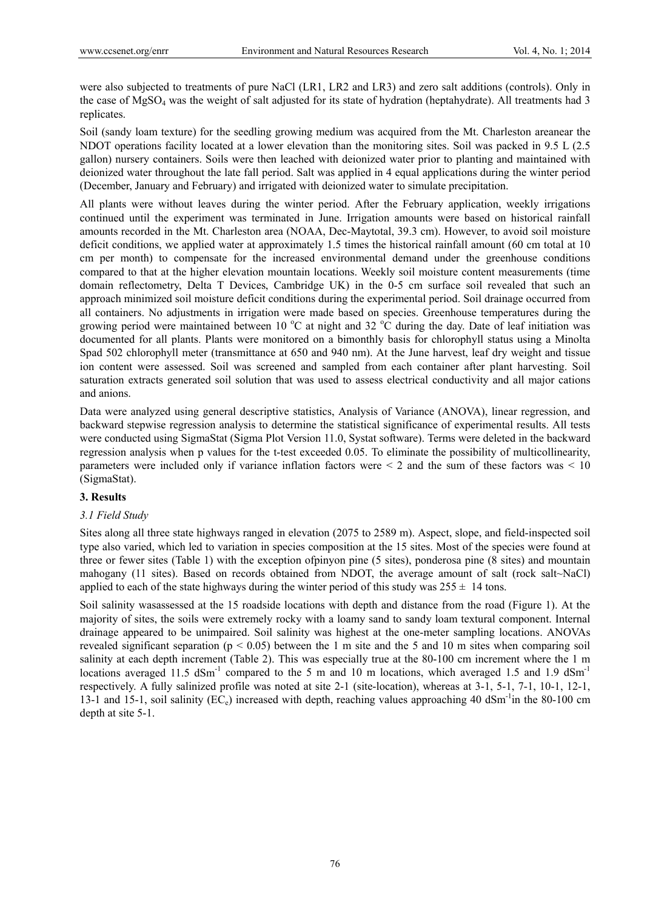were also subjected to treatments of pure NaCl (LR1, LR2 and LR3) and zero salt additions (controls). Only in the case of  $MgSO<sub>4</sub>$  was the weight of salt adjusted for its state of hydration (heptahydrate). All treatments had 3 replicates.

Soil (sandy loam texture) for the seedling growing medium was acquired from the Mt. Charleston areanear the NDOT operations facility located at a lower elevation than the monitoring sites. Soil was packed in 9.5 L (2.5 gallon) nursery containers. Soils were then leached with deionized water prior to planting and maintained with deionized water throughout the late fall period. Salt was applied in 4 equal applications during the winter period (December, January and February) and irrigated with deionized water to simulate precipitation.

All plants were without leaves during the winter period. After the February application, weekly irrigations continued until the experiment was terminated in June. Irrigation amounts were based on historical rainfall amounts recorded in the Mt. Charleston area (NOAA, Dec-Maytotal, 39.3 cm). However, to avoid soil moisture deficit conditions, we applied water at approximately 1.5 times the historical rainfall amount (60 cm total at 10 cm per month) to compensate for the increased environmental demand under the greenhouse conditions compared to that at the higher elevation mountain locations. Weekly soil moisture content measurements (time domain reflectometry, Delta T Devices, Cambridge UK) in the 0-5 cm surface soil revealed that such an approach minimized soil moisture deficit conditions during the experimental period. Soil drainage occurred from all containers. No adjustments in irrigation were made based on species. Greenhouse temperatures during the growing period were maintained between 10  $^{\circ}$ C at night and 32  $^{\circ}$ C during the day. Date of leaf initiation was documented for all plants. Plants were monitored on a bimonthly basis for chlorophyll status using a Minolta Spad 502 chlorophyll meter (transmittance at 650 and 940 nm). At the June harvest, leaf dry weight and tissue ion content were assessed. Soil was screened and sampled from each container after plant harvesting. Soil saturation extracts generated soil solution that was used to assess electrical conductivity and all major cations and anions.

Data were analyzed using general descriptive statistics, Analysis of Variance (ANOVA), linear regression, and backward stepwise regression analysis to determine the statistical significance of experimental results. All tests were conducted using SigmaStat (Sigma Plot Version 11.0, Systat software). Terms were deleted in the backward regression analysis when p values for the t-test exceeded 0.05. To eliminate the possibility of multicollinearity, parameters were included only if variance inflation factors were  $\leq 2$  and the sum of these factors was  $\leq 10$ (SigmaStat).

## **3. Results**

# *3.1 Field Study*

Sites along all three state highways ranged in elevation (2075 to 2589 m). Aspect, slope, and field-inspected soil type also varied, which led to variation in species composition at the 15 sites. Most of the species were found at three or fewer sites (Table 1) with the exception ofpinyon pine (5 sites), ponderosa pine (8 sites) and mountain mahogany (11 sites). Based on records obtained from NDOT, the average amount of salt (rock salt~NaCl) applied to each of the state highways during the winter period of this study was  $255 \pm 14$  tons.

Soil salinity wasassessed at the 15 roadside locations with depth and distance from the road (Figure 1). At the majority of sites, the soils were extremely rocky with a loamy sand to sandy loam textural component. Internal drainage appeared to be unimpaired. Soil salinity was highest at the one-meter sampling locations. ANOVAs revealed significant separation ( $p < 0.05$ ) between the 1 m site and the 5 and 10 m sites when comparing soil salinity at each depth increment (Table 2). This was especially true at the 80-100 cm increment where the 1 m locations averaged 11.5 dSm<sup>-1</sup> compared to the 5 m and 10 m locations, which averaged 1.5 and 1.9 dSm<sup>-1</sup> respectively. A fully salinized profile was noted at site 2-1 (site-location), whereas at 3-1, 5-1, 7-1, 10-1, 12-1, 13-1 and 15-1, soil salinity ( $EC_e$ ) increased with depth, reaching values approaching 40 dSm<sup>-1</sup>in the 80-100 cm depth at site 5-1.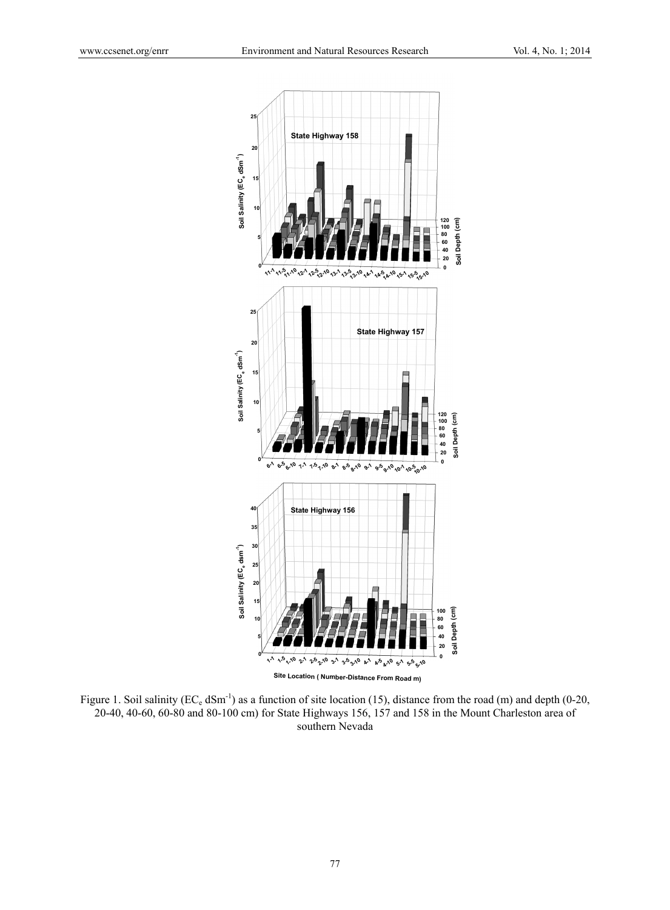

Figure 1. Soil salinity ( $EC_e$  dSm<sup>-1</sup>) as a function of site location (15), distance from the road (m) and depth (0-20, 20-40, 40-60, 60-80 and 80-100 cm) for State Highways 156, 157 and 158 in the Mount Charleston area of southern Nevada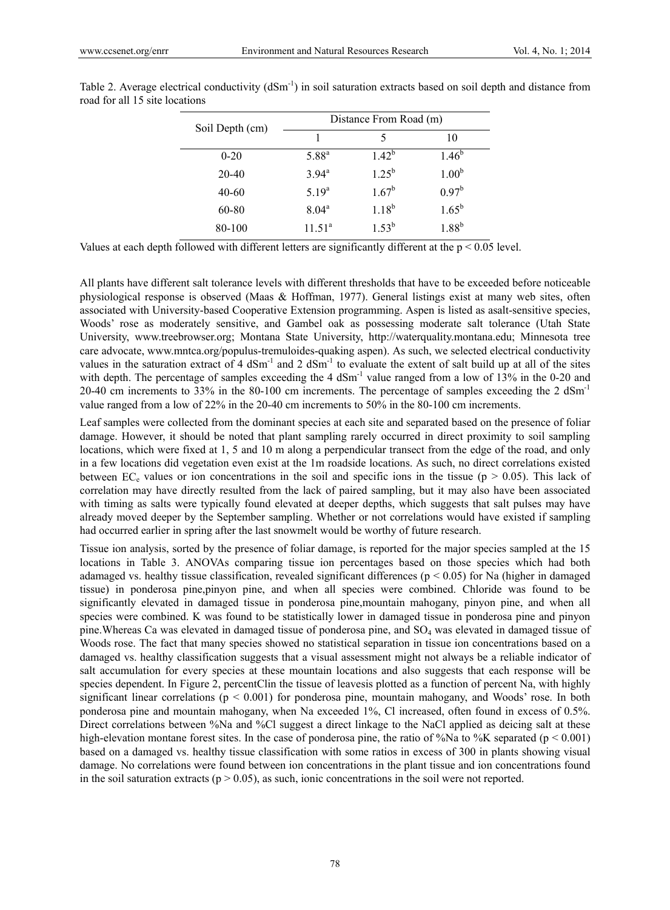| Soil Depth (cm) | Distance From Road (m) |            |                   |  |  |  |
|-----------------|------------------------|------------|-------------------|--|--|--|
|                 |                        | 5          | 10                |  |  |  |
| $0 - 20$        | $5.88^{a}$             | $1.42^{b}$ | $1.46^{b}$        |  |  |  |
| $20 - 40$       | $3.94$ <sup>a</sup>    | $1.25^{b}$ | 1.00 <sup>b</sup> |  |  |  |
| $40 - 60$       | 5.19 <sup>a</sup>      | $1.67^b$   | $0.97^{\rm b}$    |  |  |  |
| 60-80           | $8.04^{\rm a}$         | $1.18^{b}$ | $1.65^{\rm b}$    |  |  |  |
| 80-100          | $11.51^a$              | $1.53^{b}$ | 1.88 <sup>b</sup> |  |  |  |

Table 2. Average electrical conductivity  $(dSm^{-1})$  in soil saturation extracts based on soil depth and distance from road for all 15 site locations

Values at each depth followed with different letters are significantly different at the p < 0.05 level.

All plants have different salt tolerance levels with different thresholds that have to be exceeded before noticeable physiological response is observed (Maas & Hoffman, 1977). General listings exist at many web sites, often associated with University-based Cooperative Extension programming. Aspen is listed as asalt-sensitive species, Woods' rose as moderately sensitive, and Gambel oak as possessing moderate salt tolerance (Utah State University, www.treebrowser.org; Montana State University, http://waterquality.montana.edu; Minnesota tree care advocate, www.mntca.org/populus-tremuloides-quaking aspen). As such, we selected electrical conductivity values in the saturation extract of 4  $dSm^{-1}$  and 2  $dSm^{-1}$  to evaluate the extent of salt build up at all of the sites with depth. The percentage of samples exceeding the 4 dSm<sup>-1</sup> value ranged from a low of 13% in the 0-20 and 20-40 cm increments to 33% in the 80-100 cm increments. The percentage of samples exceeding the 2 dSm-1 value ranged from a low of 22% in the 20-40 cm increments to 50% in the 80-100 cm increments.

Leaf samples were collected from the dominant species at each site and separated based on the presence of foliar damage. However, it should be noted that plant sampling rarely occurred in direct proximity to soil sampling locations, which were fixed at 1, 5 and 10 m along a perpendicular transect from the edge of the road, and only in a few locations did vegetation even exist at the 1m roadside locations. As such, no direct correlations existed between EC<sub>e</sub> values or ion concentrations in the soil and specific ions in the tissue ( $p > 0.05$ ). This lack of correlation may have directly resulted from the lack of paired sampling, but it may also have been associated with timing as salts were typically found elevated at deeper depths, which suggests that salt pulses may have already moved deeper by the September sampling. Whether or not correlations would have existed if sampling had occurred earlier in spring after the last snowmelt would be worthy of future research.

Tissue ion analysis, sorted by the presence of foliar damage, is reported for the major species sampled at the 15 locations in Table 3. ANOVAs comparing tissue ion percentages based on those species which had both adamaged vs. healthy tissue classification, revealed significant differences ( $p < 0.05$ ) for Na (higher in damaged tissue) in ponderosa pine,pinyon pine, and when all species were combined. Chloride was found to be significantly elevated in damaged tissue in ponderosa pine,mountain mahogany, pinyon pine, and when all species were combined. K was found to be statistically lower in damaged tissue in ponderosa pine and pinyon pine.Whereas Ca was elevated in damaged tissue of ponderosa pine, and SO4 was elevated in damaged tissue of Woods rose. The fact that many species showed no statistical separation in tissue ion concentrations based on a damaged vs. healthy classification suggests that a visual assessment might not always be a reliable indicator of salt accumulation for every species at these mountain locations and also suggests that each response will be species dependent. In Figure 2, percentClin the tissue of leavesis plotted as a function of percent Na, with highly significant linear correlations ( $p < 0.001$ ) for ponderosa pine, mountain mahogany, and Woods' rose. In both ponderosa pine and mountain mahogany, when Na exceeded 1%, Cl increased, often found in excess of 0.5%. Direct correlations between %Na and %Cl suggest a direct linkage to the NaCl applied as deicing salt at these high-elevation montane forest sites. In the case of ponderosa pine, the ratio of %Na to %K separated (p < 0.001) based on a damaged vs. healthy tissue classification with some ratios in excess of 300 in plants showing visual damage. No correlations were found between ion concentrations in the plant tissue and ion concentrations found in the soil saturation extracts ( $p > 0.05$ ), as such, ionic concentrations in the soil were not reported.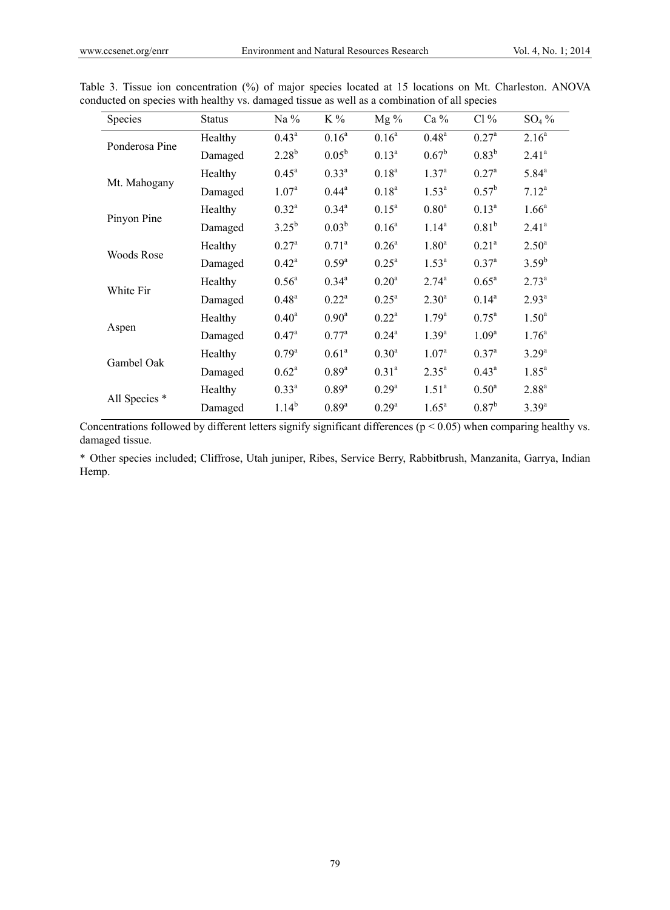| Species        | <b>Status</b> | Na $%$            | K%                | $Mg\%$            | Ca %              | Cl%               | $SO_4\%$          |
|----------------|---------------|-------------------|-------------------|-------------------|-------------------|-------------------|-------------------|
| Ponderosa Pine | Healthy       | $0.43^{\rm a}$    | $0.16^a$          | $0.16^a$          | $0.48^{a}$        | $0.27^{\rm a}$    | 2.16 <sup>a</sup> |
|                | Damaged       | $2.28^{b}$        | $0.05^{\rm b}$    | $0.13^a$          | $0.67^{\rm b}$    | $0.83^{b}$        | 2.41 <sup>a</sup> |
|                | Healthy       | $0.45^{\text{a}}$ | $0.33^{a}$        | $0.18^{a}$        | 1.37 <sup>a</sup> | $0.27^{\rm a}$    | $5.84^{a}$        |
| Mt. Mahogany   | Damaged       | 1.07 <sup>a</sup> | $0.44^a$          | $0.18^{a}$        | 1.53 <sup>a</sup> | $0.57^{\rm b}$    | $7.12^a$          |
|                | Healthy       | $0.32^a$          | $0.34^{a}$        | $0.15^a$          | 0.80 <sup>a</sup> | $0.13^a$          | $1.66^a$          |
| Pinyon Pine    | Damaged       | $3.25^{b}$        | $0.03^{b}$        | $0.16^a$          | $1.14^{a}$        | $0.81^{b}$        | 2.41 <sup>a</sup> |
|                | Healthy       | $0.27^{\rm a}$    | $0.71^{\rm a}$    | 0.26 <sup>a</sup> | 1.80 <sup>a</sup> | $0.21^{a}$        | $2.50^{\rm a}$    |
| Woods Rose     | Damaged       | $0.42^{\rm a}$    | $0.59^{a}$        | $0.25^{\rm a}$    | $1.53^{a}$        | $0.37^{a}$        | $3.59^{b}$        |
|                | Healthy       | $0.56^{\circ}$    | $0.34^{a}$        | 0.20 <sup>a</sup> | $2.74^{a}$        | $0.65^{\rm a}$    | $2.73^{a}$        |
| White Fir      | Damaged       | $0.48^{a}$        | $0.22^a$          | $0.25^{\rm a}$    | $2.30^{a}$        | $0.14^{a}$        | $2.93^{a}$        |
|                | Healthy       | $0.40^{\rm a}$    | 0.90 <sup>a</sup> | $0.22^a$          | 1.79 <sup>a</sup> | $0.75^{\rm a}$    | 1.50 <sup>a</sup> |
| Aspen          | Damaged       | $0.47^{\rm a}$    | $0.77^{\rm a}$    | $0.24^{\rm a}$    | $1.39^{a}$        | 1.09 <sup>a</sup> | 1.76 <sup>a</sup> |
|                | Healthy       | $0.79^{a}$        | 0.61 <sup>a</sup> | 0.30 <sup>a</sup> | 1.07 <sup>a</sup> | $0.37^{a}$        | $3.29^{a}$        |
| Gambel Oak     | Damaged       | $0.62^{\rm a}$    | $0.89^{a}$        | $0.31^{a}$        | $2.35^{a}$        | $0.43^{\rm a}$    | $1.85^{\rm a}$    |
|                | Healthy       | $0.33^{a}$        | $0.89^{a}$        | $0.29^{a}$        | 1.51 <sup>a</sup> | $0.50^{\rm a}$    | $2.88^{a}$        |
| All Species *  | Damaged       | $1.14^{b}$        | 0.89 <sup>a</sup> | $0.29^{a}$        | $1.65^a$          | $0.87^{b}$        | $3.39^{a}$        |

Table 3. Tissue ion concentration (%) of major species located at 15 locations on Mt. Charleston. ANOVA conducted on species with healthy vs. damaged tissue as well as a combination of all species

Concentrations followed by different letters signify significant differences ( $p < 0.05$ ) when comparing healthy vs. damaged tissue.

\* Other species included; Cliffrose, Utah juniper, Ribes, Service Berry, Rabbitbrush, Manzanita, Garrya, Indian Hemp.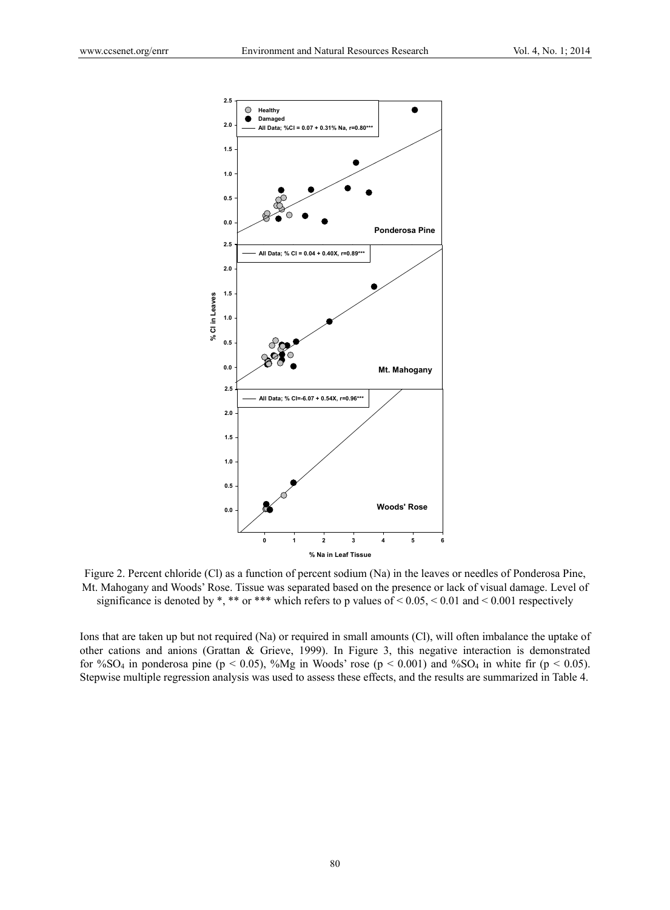

Figure 2. Percent chloride (Cl) as a function of percent sodium (Na) in the leaves or needles of Ponderosa Pine, Mt. Mahogany and Woods' Rose. Tissue was separated based on the presence or lack of visual damage. Level of significance is denoted by \*, \*\* or \*\*\* which refers to p values of < 0.05, < 0.01 and < 0.001 respectively

Ions that are taken up but not required (Na) or required in small amounts (Cl), will often imbalance the uptake of other cations and anions (Grattan & Grieve, 1999). In Figure 3, this negative interaction is demonstrated for %SO<sub>4</sub> in ponderosa pine ( $p < 0.05$ ), %Mg in Woods' rose ( $p < 0.001$ ) and %SO<sub>4</sub> in white fir ( $p < 0.05$ ). Stepwise multiple regression analysis was used to assess these effects, and the results are summarized in Table 4.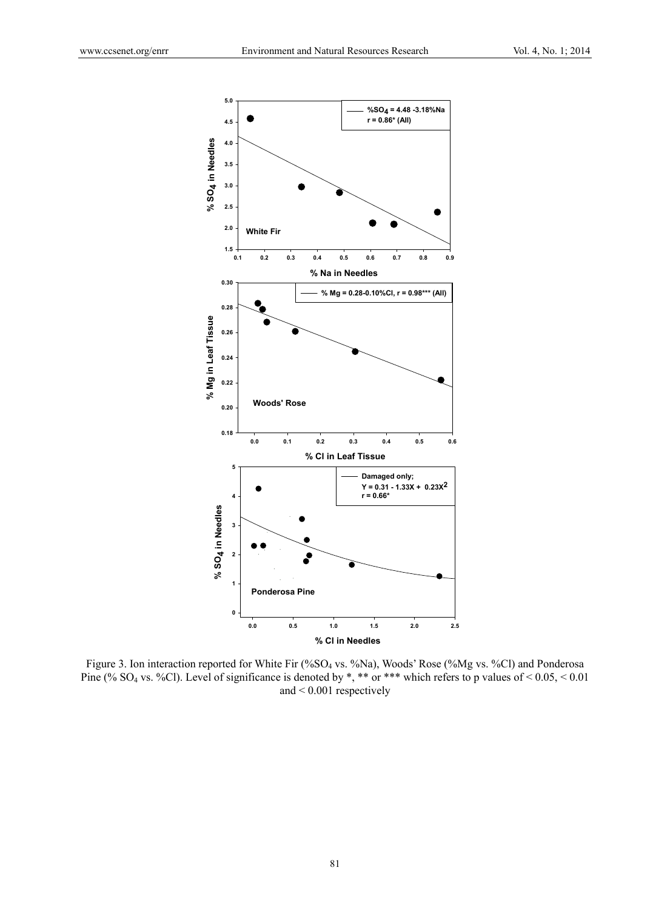

Figure 3. Ion interaction reported for White Fir (%SO4 vs. %Na), Woods' Rose (%Mg vs. %Cl) and Ponderosa Pine (% SO<sub>4</sub> vs. %Cl). Level of significance is denoted by \*, \*\* or \*\*\* which refers to p values of <  $0.05$ , <  $0.01$ and < 0.001 respectively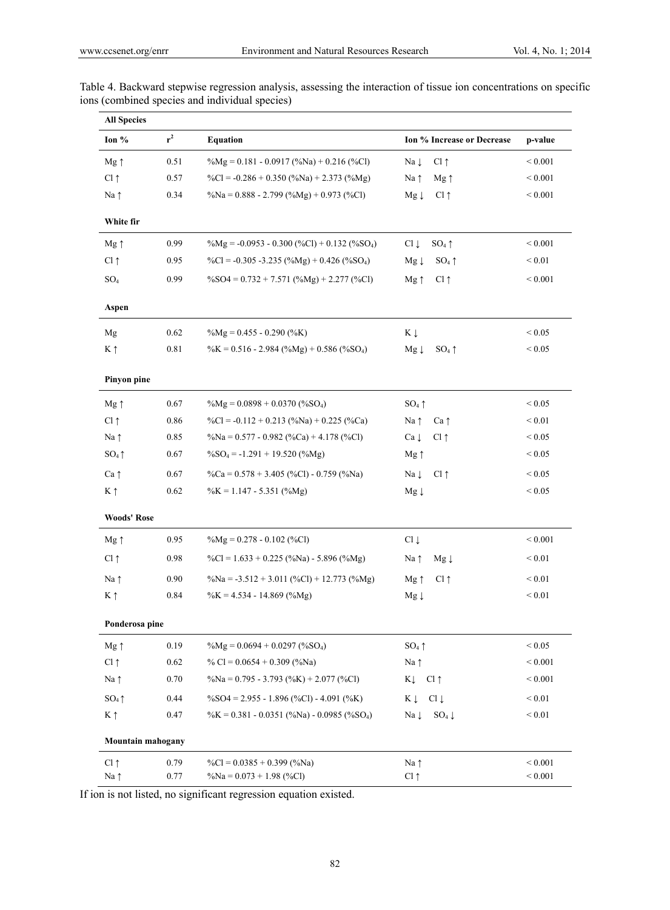| <b>All Species</b> |       |                                                                                                             |                                      |                  |
|--------------------|-------|-------------------------------------------------------------------------------------------------------------|--------------------------------------|------------------|
| Ion %              | $r^2$ | <b>Equation</b>                                                                                             | Ion % Increase or Decrease           | p-value          |
| Mg ↑               | 0.51  | $\%Mg = 0.181 - 0.0917 \, (\%Na) + 0.216 \, (\%Cl)$                                                         | $Cl \uparrow$<br>Na 1                | ${}< 0.001$      |
| $Cl \uparrow$      | 0.57  | $\%CI = -0.286 + 0.350 \left( \frac{\%}{\mathrm{Na}} \right) + 2.373 \left( \frac{\%}{\mathrm{Mg}} \right)$ | Na $\uparrow$<br>$Mg \uparrow$       | ${}< 0.001$      |
| Na $\uparrow$      | 0.34  | $\%Na = 0.888 - 2.799 \ (\%Mg) + 0.973 \ (\%Cl)$                                                            | $Cl \uparrow$<br>$Mg \downarrow$     | ${}< 0.001$      |
| White fir          |       |                                                                                                             |                                      |                  |
| $Mg \uparrow$      | 0.99  | $\%Mg = -0.0953 - 0.300 (\%CI) + 0.132 (\%SO_4)$                                                            | $Cl \downarrow$<br>$SO_4 \uparrow$   | ${}< 0.001$      |
| $Cl \uparrow$      | 0.95  | $\%CI = -0.305 -3.235 \left( \%Mg \right) + 0.426 \left( \%SO_4 \right)$                                    | $SO_4 \uparrow$<br>$Mg \downarrow$   | ${}_{0.01}$      |
| $SO_4$             | 0.99  | $\%SO4 = 0.732 + 7.571 \, (\%Mg) + 2.277 \, (\%Cl)$                                                         | $Mg \uparrow$<br>$Cl \uparrow$       | ${}< 0.001$      |
| Aspen              |       |                                                                                                             |                                      |                  |
| Mg                 | 0.62  | $\%Mg = 0.455 - 0.290$ (%K)                                                                                 | $K \downarrow$                       | ${}_{\leq 0.05}$ |
| $K \uparrow$       | 0.81  | $\%K = 0.516 - 2.984 \left( \%Mg \right) + 0.586 \left( \%SO_4 \right)$                                     | $SO_4 \uparrow$<br>$Mg \downarrow$   | ${}< 0.05$       |
| Pinyon pine        |       |                                                                                                             |                                      |                  |
| $Mg \uparrow$      | 0.67  | $\%$ Mg = 0.0898 + 0.0370 (%SO <sub>4</sub> )                                                               | $SO_4 \uparrow$                      | ${}_{0.05}$      |
| $Cl \uparrow$      | 0.86  | $\%Cl = -0.112 + 0.213 \left( \frac{6}{3} \text{Na} \right) + 0.225 \left( \frac{6}{3} \text{Ca} \right)$   | Na $\uparrow$<br>$Ca \uparrow$       | ${}_{0.01}$      |
| Na ↑               | 0.85  | $\%Na = 0.577 - 0.982$ (%Ca) + 4.178 (%Cl)                                                                  | $Ca \downarrow$<br>$Cl \uparrow$     | ${}_{0.05}$      |
| $SO_4 \uparrow$    | 0.67  | $\%$ SO <sub>4</sub> = -1.291 + 19.520 (%Mg)                                                                | $Mg \uparrow$                        | ${}_{\leq 0.05}$ |
| $Ca \uparrow$      | 0.67  | $\%Ca = 0.578 + 3.405$ (%Cl) - 0.759 (%Na)                                                                  | $Na \downarrow$<br>$Cl \uparrow$     | ${}_{0.05}$      |
| $K \uparrow$       | 0.62  | $\%K = 1.147 - 5.351$ (%Mg)                                                                                 | $Mg \downarrow$                      | ${}< 0.05$       |
| <b>Woods' Rose</b> |       |                                                                                                             |                                      |                  |
| $Mg \uparrow$      | 0.95  | $\%Mg = 0.278 - 0.102$ (%Cl)                                                                                | $Cl \downarrow$                      | ${}< 0.001$      |
| $Cl \uparrow$      | 0.98  | $\%CI = 1.633 + 0.225$ (%Na) - 5.896 (%Mg)                                                                  | $Mg \downarrow$<br>Na $\uparrow$     | ${}_{0.01}$      |
| Na ↑               | 0.90  | %Na = $-3.512 + 3.011$ (%Cl) + 12.773 (%Mg)                                                                 | $Mg \uparrow$<br>$Cl \uparrow$       | ${}_{0.01}$      |
| $K \uparrow$       | 0.84  | $\%K = 4.534 - 14.869$ (%Mg)                                                                                | $Mg \downarrow$                      | ${}_{0.01}$      |
| Ponderosa pine     |       |                                                                                                             |                                      |                  |
| $Mg \uparrow$      | 0.19  | $\%Mg = 0.0694 + 0.0297$ (%SO <sub>4</sub> )                                                                | $SO_4 \uparrow$                      | ${}_{0.05}$      |
| $Cl \uparrow$      | 0.62  | % Cl = $0.0654 + 0.309$ (%Na)                                                                               | Na $\uparrow$                        | ${}< 0.001$      |
| Na $\uparrow$      | 0.70  | $\%Na = 0.795 - 3.793$ (%K) + 2.077 (%Cl)                                                                   | KĮ<br>$Cl \uparrow$                  | ${}_{0.001}$     |
| $SO_4 \uparrow$    | 0.44  | $\%$ SO4 = 2.955 - 1.896 (%Cl) - 4.091 (%K)                                                                 | $Cl \downarrow$<br>Κ↓                | ${}_{0.01}$      |
| $K \uparrow$       | 0.47  | $\%K = 0.381 - 0.0351$ (%Na) - 0.0985 (%SO <sub>4</sub> )                                                   | $Na \downarrow$<br>$SO_4 \downarrow$ | ${}_{0.01}$      |
| Mountain mahogany  |       |                                                                                                             |                                      |                  |
| $Cl \uparrow$      | 0.79  | $\%CI = 0.0385 + 0.399$ (%Na)                                                                               | Na $\uparrow$                        | ${}_{0.001}$     |
| Na ↑               | 0.77  | $\%Na = 0.073 + 1.98$ (%Cl)                                                                                 | $Cl \uparrow$                        | ${}< 0.001$      |

Table 4. Backward stepwise regression analysis, assessing the interaction of tissue ion concentrations on specific ions (combined species and individual species)

If ion is not listed, no significant regression equation existed.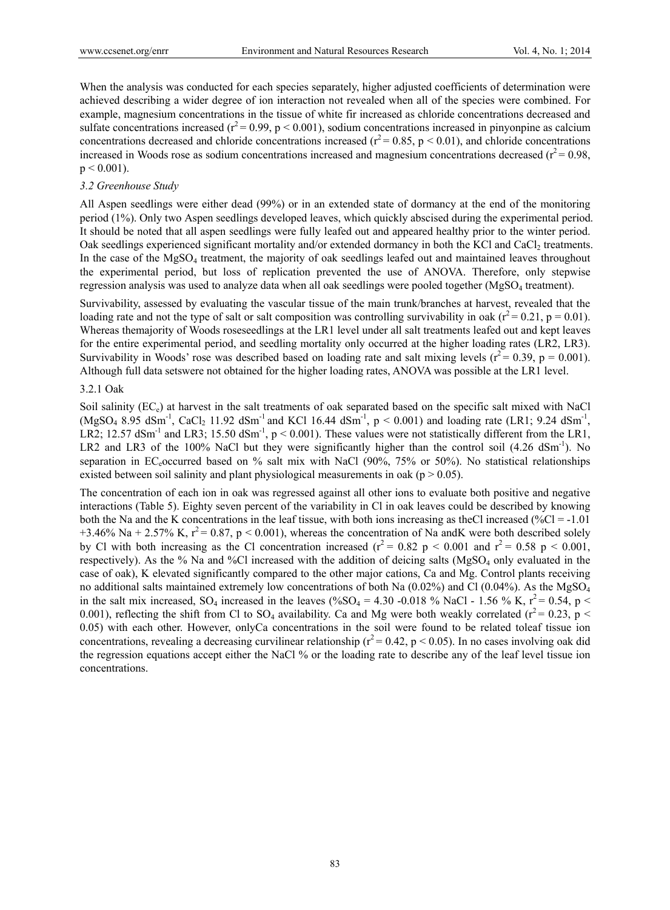When the analysis was conducted for each species separately, higher adjusted coefficients of determination were achieved describing a wider degree of ion interaction not revealed when all of the species were combined. For example, magnesium concentrations in the tissue of white fir increased as chloride concentrations decreased and sulfate concentrations increased ( $r^2$  = 0.99, p < 0.001), sodium concentrations increased in pinyonpine as calcium concentrations decreased and chloride concentrations increased ( $r^2$  = 0.85, p < 0.01), and chloride concentrations increased in Woods rose as sodium concentrations increased and magnesium concentrations decreased  $(r^2 = 0.98)$ ,  $p < 0.001$ ).

#### *3.2 Greenhouse Study*

All Aspen seedlings were either dead (99%) or in an extended state of dormancy at the end of the monitoring period (1%). Only two Aspen seedlings developed leaves, which quickly abscised during the experimental period. It should be noted that all aspen seedlings were fully leafed out and appeared healthy prior to the winter period. Oak seedlings experienced significant mortality and/or extended dormancy in both the KCl and CaCl<sub>2</sub> treatments. In the case of the MgSO4 treatment, the majority of oak seedlings leafed out and maintained leaves throughout the experimental period, but loss of replication prevented the use of ANOVA. Therefore, only stepwise regression analysis was used to analyze data when all oak seedlings were pooled together (MgSO<sub>4</sub> treatment).

Survivability, assessed by evaluating the vascular tissue of the main trunk/branches at harvest, revealed that the loading rate and not the type of salt or salt composition was controlling survivability in oak ( $r^2 = 0.21$ , p = 0.01). Whereas themajority of Woods roseseedlings at the LR1 level under all salt treatments leafed out and kept leaves for the entire experimental period, and seedling mortality only occurred at the higher loading rates (LR2, LR3). Survivability in Woods' rose was described based on loading rate and salt mixing levels  $(r^2 = 0.39, p = 0.001)$ . Although full data setswere not obtained for the higher loading rates, ANOVA was possible at the LR1 level.

### 3.2.1 Oak

Soil salinity (EC<sub>c</sub>) at harvest in the salt treatments of oak separated based on the specific salt mixed with NaCl  $(MgSO_4 8.95 dSm<sup>-1</sup>, CaCl<sub>2</sub> 11.92 dSm<sup>-1</sup>$  and KCl 16.44 dSm<sup>-1</sup>, p < 0.001) and loading rate (LR1; 9.24 dSm<sup>-1</sup>, LR2; 12.57 dSm<sup>-1</sup> and LR3; 15.50 dSm<sup>-1</sup>, p < 0.001). These values were not statistically different from the LR1, LR2 and LR3 of the 100% NaCl but they were significantly higher than the control soil (4.26 dSm<sup>-1</sup>). No separation in EC-occurred based on % salt mix with NaCl  $(90\%, 75\% \text{ or } 50\%)$ . No statistical relationships existed between soil salinity and plant physiological measurements in oak ( $p > 0.05$ ).

The concentration of each ion in oak was regressed against all other ions to evaluate both positive and negative interactions (Table 5). Eighty seven percent of the variability in Cl in oak leaves could be described by knowing both the Na and the K concentrations in the leaf tissue, with both ions increasing as theCl increased (% $Cl = -1.01$ ) +3.46% Na + 2.57% K,  $r^2$  = 0.87, p < 0.001), whereas the concentration of Na andK were both described solely by Cl with both increasing as the Cl concentration increased ( $r^2$  = 0.82 p < 0.001 and  $r^2$  = 0.58 p < 0.001, respectively). As the % Na and %Cl increased with the addition of deicing salts (MgSO<sub>4</sub> only evaluated in the case of oak), K elevated significantly compared to the other major cations, Ca and Mg. Control plants receiving no additional salts maintained extremely low concentrations of both Na  $(0.02\%)$  and Cl  $(0.04\%)$ . As the MgSO<sub>4</sub> in the salt mix increased,  $SO_4$  increased in the leaves (% $SO_4 = 4.30$  -0.018 % NaCl - 1.56 % K,  $r^2 = 0.54$ , p < 0.001), reflecting the shift from Cl to  $SO_4$  availability. Ca and Mg were both weakly correlated ( $r^2$  = 0.23, p < 0.05) with each other. However, onlyCa concentrations in the soil were found to be related toleaf tissue ion concentrations, revealing a decreasing curvilinear relationship ( $r^2$  = 0.42, p < 0.05). In no cases involving oak did the regression equations accept either the NaCl % or the loading rate to describe any of the leaf level tissue ion concentrations.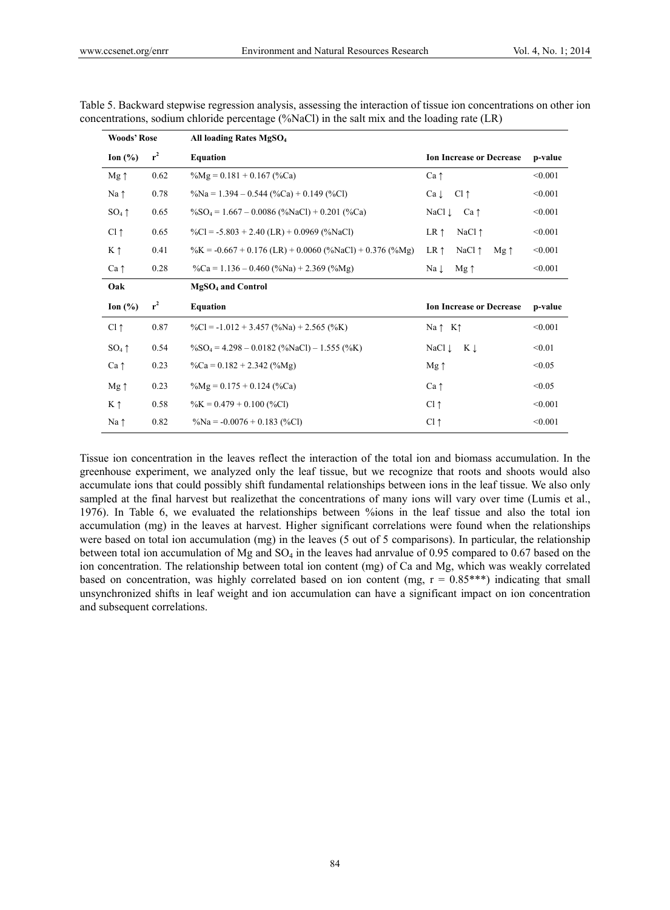| <b>Woods' Rose</b> |       |                                                                        |                                                   |         |
|--------------------|-------|------------------------------------------------------------------------|---------------------------------------------------|---------|
| Ion $(\% )$        | $r^2$ | <b>Equation</b>                                                        | <b>Ion Increase or Decrease</b>                   | p-value |
| $Mg \uparrow$      | 0.62  | $\%Mg = 0.181 + 0.167$ (%Ca)                                           | $Ca \uparrow$                                     | < 0.001 |
| Na $\uparrow$      | 0.78  | $\%Na = 1.394 - 0.544$ (%Ca) + 0.149 (%Cl)                             | $Cl \uparrow$<br>$Ca \downarrow$                  | < 0.001 |
| $SO_4 \uparrow$    | 0.65  | $\%SO_4 = 1.667 - 0.0086$ (%NaCl) + 0.201 (%Ca)                        | $Ca \uparrow$<br>NaCl ↓                           | < 0.001 |
| $Cl \uparrow$      | 0.65  | $\%CI = -5.803 + 2.40$ (LR) + 0.0969 (%NaCl)                           | NaCl $\uparrow$<br>$LR \uparrow$                  | < 0.001 |
| $K \uparrow$       | 0.41  | $\%K = -0.667 + 0.176$ (LR) + 0.0060 (%NaCl) + 0.376 (%Mg)             | $LR \uparrow$<br>NaCl $\uparrow$<br>$Mg \uparrow$ | < 0.001 |
| $Ca \uparrow$      | 0.28  | $\%Ca = 1.136 - 0.460\,(^{\circ}\%Na) + 2.369\,(^{\circ}\%Mg)$         | $Na \downarrow$<br>$Mg \uparrow$                  | < 0.001 |
|                    |       |                                                                        |                                                   |         |
| Oak                |       | <b>MgSO<sub>4</sub></b> and Control                                    |                                                   |         |
| Ion $(\% )$        | $r^2$ | <b>Equation</b>                                                        | <b>Ion Increase or Decrease</b>                   | p-value |
| $Cl \uparrow$      | 0.87  | $\%CI = -1.012 + 3.457 \left( \%Na \right) + 2.565 \left( \%K \right)$ | $Na \uparrow K \uparrow$                          | < 0.001 |
| $SO_4 \uparrow$    | 0.54  | $\%SO_4 = 4.298 - 0.0182$ (%NaCl) – 1.555 (%K)                         | NaCl ↓<br>Κļ                                      | < 0.01  |
| $Ca \uparrow$      | 0.23  | $\%Ca = 0.182 + 2.342 \, (\%Mg)$                                       | $Mg \uparrow$                                     | < 0.05  |
| $Mg \uparrow$      | 0.23  | $\%$ Mg = 0.175 + 0.124 (%Ca)                                          | $Ca \uparrow$                                     | < 0.05  |
| $K \uparrow$       | 0.58  | $\%K = 0.479 + 0.100$ (%Cl)                                            | $Cl \uparrow$                                     | < 0.001 |

Table 5. Backward stepwise regression analysis, assessing the interaction of tissue ion concentrations on other ion concentrations, sodium chloride percentage (%NaCl) in the salt mix and the loading rate (LR)

Tissue ion concentration in the leaves reflect the interaction of the total ion and biomass accumulation. In the greenhouse experiment, we analyzed only the leaf tissue, but we recognize that roots and shoots would also accumulate ions that could possibly shift fundamental relationships between ions in the leaf tissue. We also only sampled at the final harvest but realizethat the concentrations of many ions will vary over time (Lumis et al., 1976). In Table 6, we evaluated the relationships between %ions in the leaf tissue and also the total ion accumulation (mg) in the leaves at harvest. Higher significant correlations were found when the relationships were based on total ion accumulation (mg) in the leaves (5 out of 5 comparisons). In particular, the relationship between total ion accumulation of Mg and  $SO_4$  in the leaves had anrvalue of 0.95 compared to 0.67 based on the ion concentration. The relationship between total ion content (mg) of Ca and Mg, which was weakly correlated based on concentration, was highly correlated based on ion content (mg,  $r = 0.85***$ ) indicating that small unsynchronized shifts in leaf weight and ion accumulation can have a significant impact on ion concentration and subsequent correlations.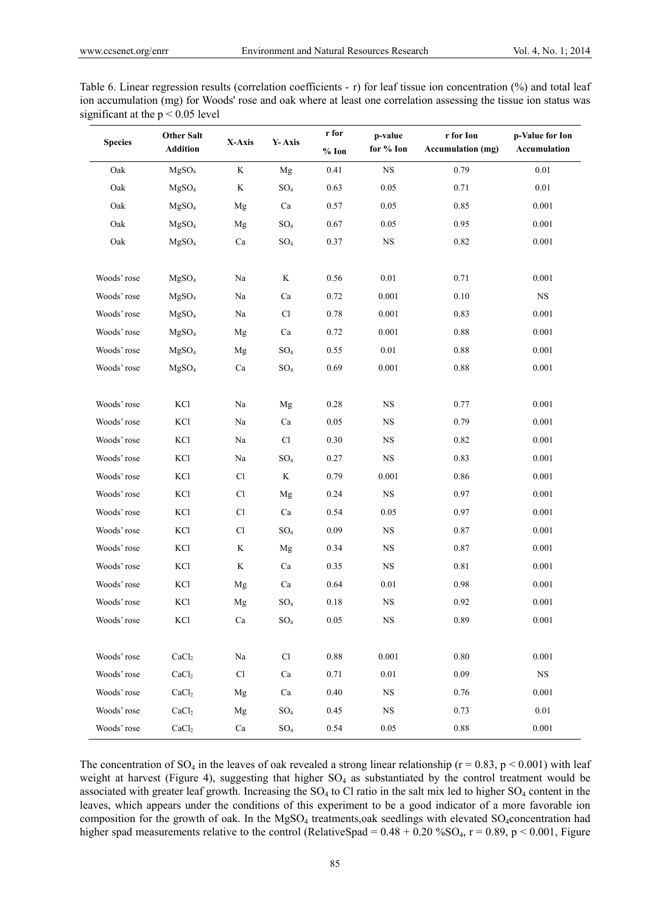| Table 6. Linear regression results (correlation coefficients - r) for leaf tissue ion concentration $(\%)$ and total leaf |
|---------------------------------------------------------------------------------------------------------------------------|
| ion accumulation (mg) for Woods' rose and oak where at least one correlation assessing the tissue ion status was          |
| significant at the $p < 0.05$ level                                                                                       |

| <b>Species</b> | <b>Other Salt</b><br><b>Addition</b> | X-Axis         | Y-Axis          | r for<br>$%$ Ion | p-value<br>for % Ion | r for Ion<br><b>Accumulation</b> (mg) | p-Value for Ion<br>Accumulation |
|----------------|--------------------------------------|----------------|-----------------|------------------|----------------------|---------------------------------------|---------------------------------|
| Oak            | MgSO <sub>4</sub>                    | $\rm K$        | Mg              | 0.41             | $_{\rm NS}$          | 0.79                                  | 0.01                            |
| Oak            | MgSO <sub>4</sub>                    | $\rm K$        | $SO_4$          | 0.63             | 0.05                 | 0.71                                  | 0.01                            |
| Oak            | MgSO <sub>4</sub>                    | Mg             | Ca              | 0.57             | 0.05                 | 0.85                                  | 0.001                           |
| Oak            | MgSO <sub>4</sub>                    | Mg             | $SO_4$          | 0.67             | 0.05                 | 0.95                                  | 0.001                           |
| Oak            | MgSO <sub>4</sub>                    | Ca             | $SO_4$          | 0.37             | $_{\rm NS}$          | 0.82                                  | 0.001                           |
| Woods' rose    | MgSO <sub>4</sub>                    | Na             | K               | 0.56             | 0.01                 | 0.71                                  | 0.001                           |
| Woods' rose    | MgSO <sub>4</sub>                    | Na             | Ca              | 0.72             | 0.001                | 0.10                                  | $_{\rm NS}$                     |
| Woods' rose    | MgSO <sub>4</sub>                    | Na             | Cl              | 0.78             | 0.001                | 0.83                                  | 0.001                           |
| Woods' rose    | MgSO <sub>4</sub>                    | Mg             | Ca              | 0.72             | 0.001                | 0.88                                  | 0.001                           |
| Woods' rose    | MgSO <sub>4</sub>                    | Mg             | $SO_4$          | 0.55             | 0.01                 | 0.88                                  | 0.001                           |
| Woods' rose    | MgSO <sub>4</sub>                    | Ca             | $SO_4$          | 0.69             | 0.001                | 0.88                                  | 0.001                           |
|                |                                      |                |                 |                  |                      |                                       |                                 |
| Woods' rose    | KCl                                  | Na             | Mg              | 0.28             | $_{\rm NS}$          | 0.77                                  | 0.001                           |
| Woods' rose    | KCl                                  | Na             | Ca              | 0.05             | $_{\rm NS}$          | 0.79                                  | 0.001                           |
| Woods' rose    | KCl                                  | Na             | Cl              | 0.30             | $_{\rm NS}$          | 0.82                                  | 0.001                           |
| Woods' rose    | KCl                                  | Na             | $SO_4$          | 0.27             | $_{\rm NS}$          | 0.83                                  | 0.001                           |
| Woods' rose    | KCl                                  | Cl             | K               | 0.79             | 0.001                | 0.86                                  | 0.001                           |
| Woods' rose    | KCl                                  | Cl             | Mg              | 0.24             | $_{\rm NS}$          | 0.97                                  | 0.001                           |
| Woods' rose    | KCl                                  | C <sub>1</sub> | Ca              | 0.54             | 0.05                 | 0.97                                  | 0.001                           |
| Woods' rose    | KCl                                  | Cl             | SO <sub>4</sub> | 0.09             | $_{\rm NS}$          | 0.87                                  | 0.001                           |
| Woods' rose    | KCl                                  | $\rm K$        | Mg              | 0.34             | $_{\rm NS}$          | 0.87                                  | 0.001                           |
| Woods' rose    | KCl                                  | $\bf K$        | Ca              | 0.35             | <b>NS</b>            | 0.81                                  | 0.001                           |
| Woods' rose    | KCl                                  | Mg             | Ca              | 0.64             | 0.01                 | 0.98                                  | 0.001                           |
| Woods' rose    | KCl                                  | Mg             | $SO_4$          | 0.18             | $_{\rm NS}$          | 0.92                                  | 0.001                           |
| Woods' rose    | KCl                                  | Ca             | $SO_4$          | 0.05             | $_{\rm NS}$          | 0.89                                  | 0.001                           |
| Woods' rose    | CaCl <sub>2</sub>                    | $\rm Na$       | Cl              | 0.88             | 0.001                | $0.80\,$                              | 0.001                           |
| Woods' rose    | CaCl <sub>2</sub>                    | Cl             | Ca              | 0.71             | 0.01                 | 0.09                                  | $_{\rm NS}$                     |
| Woods' rose    | CaCl <sub>2</sub>                    | Mg             | Ca              | 0.40             | <b>NS</b>            | 0.76                                  | 0.001                           |
| Woods' rose    | CaCl <sub>2</sub>                    | Mg             | $SO_4$          | 0.45             | <b>NS</b>            | 0.73                                  | 0.01                            |
| Woods' rose    | CaCl <sub>2</sub>                    | Ca             | $\mathrm{SO}_4$ | 0.54             | 0.05                 | 0.88                                  | 0.001                           |

The concentration of SO<sub>4</sub> in the leaves of oak revealed a strong linear relationship ( $r = 0.83$ ,  $p < 0.001$ ) with leaf weight at harvest (Figure 4), suggesting that higher  $SO<sub>4</sub>$  as substantiated by the control treatment would be associated with greater leaf growth. Increasing the  $SO_4$  to Cl ratio in the salt mix led to higher  $SO_4$  content in the leaves, which appears under the conditions of this experiment to be a good indicator of a more favorable ion composition for the growth of oak. In the MgSO<sub>4</sub> treatments,oak seedlings with elevated SO<sub>4</sub>concentration had higher spad measurements relative to the control (RelativeSpad =  $0.48 + 0.20 \% SO_4$ , r =  $0.89$ , p <  $0.001$ , Figure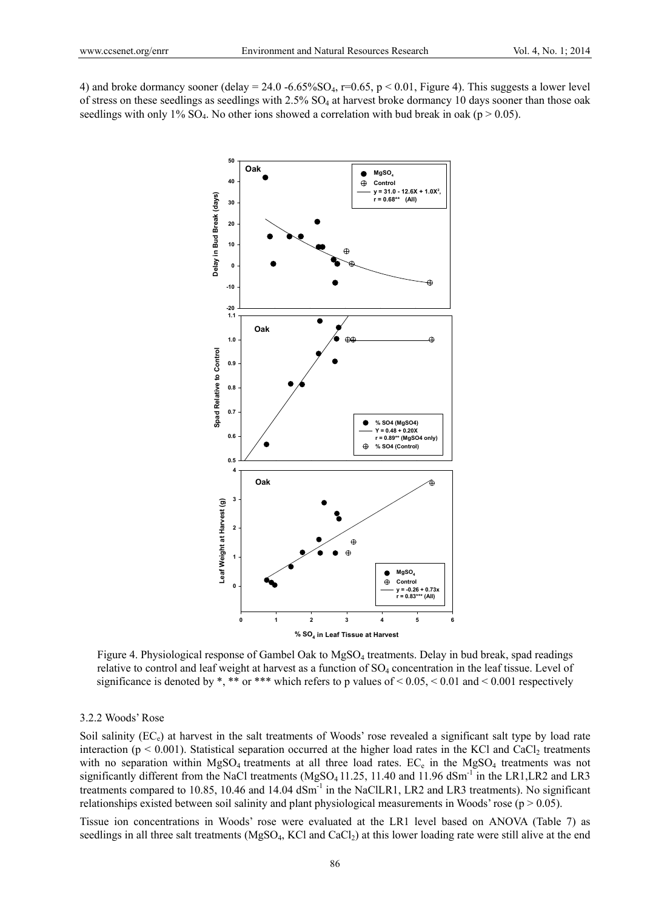4) and broke dormancy sooner (delay = 24.0 -6.65%SO<sub>4</sub>, r=0.65, p < 0.01, Figure 4). This suggests a lower level of stress on these seedlings as seedlings with 2.5% SO<sub>4</sub> at harvest broke dormancy 10 days sooner than those oak seedlings with only 1%  $SO_4$ . No other ions showed a correlation with bud break in oak (p  $> 0.05$ ).



Figure 4. Physiological response of Gambel Oak to MgSO4 treatments. Delay in bud break, spad readings relative to control and leaf weight at harvest as a function of SO<sub>4</sub> concentration in the leaf tissue. Level of significance is denoted by \*, \*\* or \*\*\* which refers to p values of  $\leq 0.05, \leq 0.01$  and  $\leq 0.001$  respectively

#### 3.2.2 Woods' Rose

Soil salinity  $(EC_e)$  at harvest in the salt treatments of Woods' rose revealed a significant salt type by load rate interaction ( $p < 0.001$ ). Statistical separation occurred at the higher load rates in the KCl and CaCl<sub>2</sub> treatments with no separation within  $MgSO_4$  treatments at all three load rates.  $EC_e$  in the  $MgSO_4$  treatments was not significantly different from the NaCl treatments (MgSO<sub>4</sub> 11.25, 11.40 and 11.96 dSm<sup>-1</sup> in the LR1,LR2 and LR3 treatments compared to 10.85, 10.46 and 14.04 dSm<sup>-1</sup> in the NaClLR1, LR2 and LR3 treatments). No significant relationships existed between soil salinity and plant physiological measurements in Woods' rose ( $p > 0.05$ ).

Tissue ion concentrations in Woods' rose were evaluated at the LR1 level based on ANOVA (Table 7) as seedlings in all three salt treatments ( $MgSO<sub>4</sub>$ , KCl and CaCl<sub>2</sub>) at this lower loading rate were still alive at the end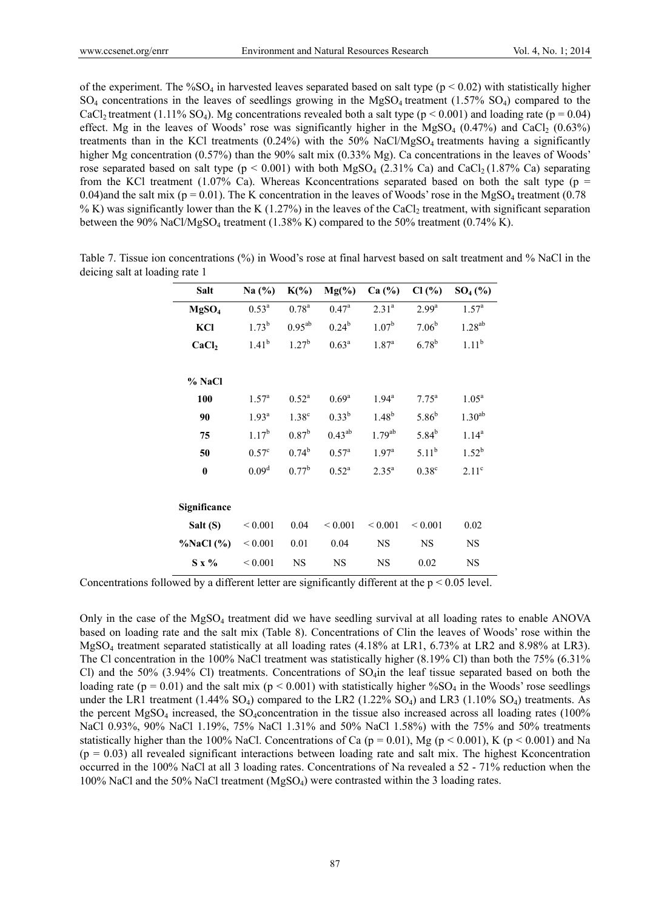of the experiment. The %SO<sub>4</sub> in harvested leaves separated based on salt type ( $p < 0.02$ ) with statistically higher  $SO_4$  concentrations in the leaves of seedlings growing in the MgSO<sub>4</sub> treatment (1.57% SO<sub>4</sub>) compared to the CaCl<sub>2</sub> treatment (1.11% SO<sub>4</sub>). Mg concentrations revealed both a salt type ( $p < 0.001$ ) and loading rate ( $p = 0.04$ ) effect. Mg in the leaves of Woods' rose was significantly higher in the MgSO<sub>4</sub>  $(0.47%)$  and CaCl<sub>2</sub>  $(0.63%)$ treatments than in the KCl treatments  $(0.24%)$  with the 50% NaCl/MgSO<sub>4</sub> treatments having a significantly higher Mg concentration (0.57%) than the 90% salt mix (0.33% Mg). Ca concentrations in the leaves of Woods' rose separated based on salt type  $(p < 0.001)$  with both MgSO<sub>4</sub> (2.31% Ca) and CaCl<sub>2</sub> (1.87% Ca) separating from the KCl treatment (1.07% Ca). Whereas K concentrations separated based on both the salt type ( $p =$ 0.04)and the salt mix ( $p = 0.01$ ). The K concentration in the leaves of Woods' rose in the MgSO<sub>4</sub> treatment (0.78) % K) was significantly lower than the K (1.27%) in the leaves of the CaCl<sub>2</sub> treatment, with significant separation between the 90% NaCl/MgSO4 treatment (1.38% K) compared to the 50% treatment (0.74% K).

| Salt              | Na $(%)$          | $K(\%)$           | $Mg(\%)$          | Ca (%)            | Cl(%)             | $SO_4(%)$          |
|-------------------|-------------------|-------------------|-------------------|-------------------|-------------------|--------------------|
| MgSO <sub>4</sub> | $0.53^a$          | $0.78^{a}$        | 0.47 <sup>a</sup> | $2.31^{a}$        | 2.99 <sup>a</sup> | 1.57 <sup>a</sup>  |
| KCI               | $1.73^b$          | $0.95^{ab}$       | $0.24^{b}$        | 1.07 <sup>b</sup> | $7.06^{b}$        | $1.28^{ab}$        |
| CaCl <sub>2</sub> | $1.41^{b}$        | $1.27^{b}$        | $0.63^a$          | $1.87^{\rm a}$    | $6.78^{b}$        | $1.11^{b}$         |
| % NaCl            |                   |                   |                   |                   |                   |                    |
| 100               | $1.57^{\rm a}$    | $0.52^{\rm a}$    | $0.69^{\rm a}$    | $1.94^{\rm a}$    | $7.75^{\rm a}$    | $1.05^{\rm a}$     |
| 90                | $1.93^{\rm a}$    | 1.38 <sup>c</sup> | $0.33^{b}$        | $1.48^{b}$        | $5.86^{b}$        | 1.30 <sup>ab</sup> |
| 75                | $1.17^{b}$        | $0.87^{\rm b}$    | $0.43^{ab}$       | $1.79^{ab}$       | $5.84^{b}$        | $1.14^{a}$         |
| 50                | $0.57^{\circ}$    | $0.74^b$          | $0.57^{\rm a}$    | $1.97^{\rm a}$    | $5.11^{b}$        | $1.52^{b}$         |
| $\bf{0}$          | 0.09 <sup>d</sup> | $0.77^{\rm b}$    | $0.52^{\rm a}$    | $2.35^{a}$        | 0.38 <sup>c</sup> | 2.11 <sup>c</sup>  |
| Significance      |                   |                   |                   |                   |                   |                    |
| Salt (S)          | ${}_{0.001}$      | 0.04              | ${}_{0.001}$      | ${}_{0.001}$      | ${}_{0.001}$      | 0.02               |
| $\%$ NaCl $(\%)$  | ${}< 0.001$       | 0.01              | 0.04              | <b>NS</b>         | <b>NS</b>         | <b>NS</b>          |
| $S \times \%$     | ${}< 0.001$       | <b>NS</b>         | <b>NS</b>         | <b>NS</b>         | 0.02              | <b>NS</b>          |

Table 7. Tissue ion concentrations (%) in Wood's rose at final harvest based on salt treatment and % NaCl in the deicing salt at loading rate 1

Concentrations followed by a different letter are significantly different at the  $p < 0.05$  level.

Only in the case of the  $MgSO<sub>4</sub>$  treatment did we have seedling survival at all loading rates to enable ANOVA based on loading rate and the salt mix (Table 8). Concentrations of Clin the leaves of Woods' rose within the MgSO4 treatment separated statistically at all loading rates (4.18% at LR1, 6.73% at LR2 and 8.98% at LR3). The Cl concentration in the 100% NaCl treatment was statistically higher (8.19% Cl) than both the 75% (6.31% Cl) and the 50% (3.94% Cl) treatments. Concentrations of  $SO_4$ in the leaf tissue separated based on both the loading rate (p = 0.01) and the salt mix (p < 0.001) with statistically higher %SO<sub>4</sub> in the Woods' rose seedlings under the LR1 treatment  $(1.44\%$  SO<sub>4</sub>) compared to the LR2  $(1.22\%$  SO<sub>4</sub>) and LR3  $(1.10\%$  SO<sub>4</sub>) treatments. As the percent  $MgSO<sub>4</sub>$  increased, the SO<sub>4</sub>concentration in the tissue also increased across all loading rates (100%) NaCl 0.93%, 90% NaCl 1.19%, 75% NaCl 1.31% and 50% NaCl 1.58%) with the 75% and 50% treatments statistically higher than the 100% NaCl. Concentrations of Ca ( $p = 0.01$ ), Mg ( $p < 0.001$ ), K ( $p < 0.001$ ) and Na  $(p = 0.03)$  all revealed significant interactions between loading rate and salt mix. The highest Kconcentration occurred in the 100% NaCl at all 3 loading rates. Concentrations of Na revealed a 52 - 71% reduction when the 100% NaCl and the 50% NaCl treatment (MgSO4) were contrasted within the 3 loading rates.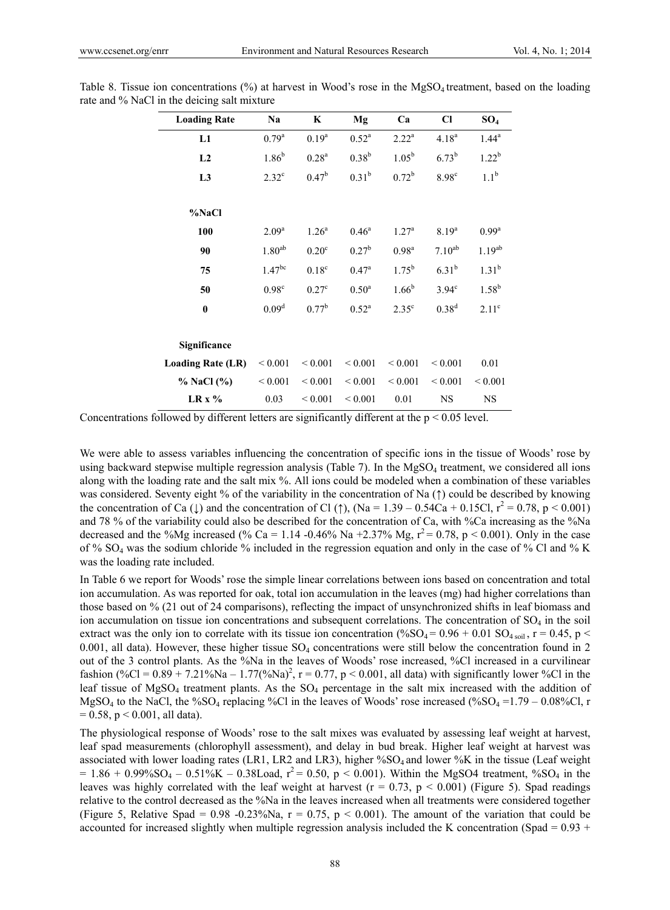| <b>Loading Rate</b>      | Na                | K                 | Mg             | Ca                | Cl                | $SO_4$            |
|--------------------------|-------------------|-------------------|----------------|-------------------|-------------------|-------------------|
| L1                       | $0.79^{\rm a}$    | $0.19^{a}$        | $0.52^{\rm a}$ | $2.22^{\rm a}$    | $4.18^{a}$        | $1.44^a$          |
| L2                       | 1.86 <sup>b</sup> | 0.28 <sup>a</sup> | $0.38^{b}$     | $1.05^{b}$        | $6.73^{b}$        | $1.22^{b}$        |
| L <sub>3</sub>           | $2.32^{\circ}$    | $0.47^{\rm b}$    | $0.31^{b}$     | $0.72^b$          | 8.98 <sup>c</sup> | $1.1^{\rm b}$     |
| %NaCl                    |                   |                   |                |                   |                   |                   |
| 100                      | 2.09 <sup>a</sup> | 1.26 <sup>a</sup> | $0.46^{\rm a}$ | 1.27 <sup>a</sup> | 8.19 <sup>a</sup> | $0.99^{\rm a}$    |
| 90                       | $1.80^{ab}$       | 0.20 <sup>c</sup> | $0.27^{b}$     | 0.98 <sup>a</sup> | $7.10^{ab}$       | $1.19^{ab}$       |
| 75                       | $1.47^{bc}$       | $0.18^c$          | $0.47^{\rm a}$ | $1.75^{b}$        | $6.31^{b}$        | $1.31^{b}$        |
| 50                       | 0.98 <sup>c</sup> | $0.27^{\circ}$    | $0.50^{a}$     | $1.66^{b}$        | $3.94^\circ$      | $1.58^{b}$        |
| $\bf{0}$                 | 0.09 <sup>d</sup> | $0.77^{\rm b}$    | $0.52^{\rm a}$ | 2.35 <sup>c</sup> | $0.38^{d}$        | 2.11 <sup>c</sup> |
| Significance             |                   |                   |                |                   |                   |                   |
| <b>Loading Rate (LR)</b> | ${}< 0.001$       | ${}_{0.001}$      | ${}< 0.001$    | ${}< 0.001$       | ${}< 0.001$       | 0.01              |
| % NaCl (%)               | ${}< 0.001$       | ${}_{0.001}$      | ${}_{0.001}$   | ${}< 0.001$       | ${}< 0.001$       | ${}_{0.001}$      |
| $LR x \%$                | 0.03              | ${}_{0.001}$      | ${}< 0.001$    | 0.01              | <b>NS</b>         | <b>NS</b>         |

Table 8. Tissue ion concentrations (%) at harvest in Wood's rose in the MgSO<sub>4</sub> treatment, based on the loading rate and % NaCl in the deicing salt mixture

Concentrations followed by different letters are significantly different at the  $p < 0.05$  level.

We were able to assess variables influencing the concentration of specific ions in the tissue of Woods' rose by using backward stepwise multiple regression analysis (Table 7). In the  $MgSO<sub>4</sub>$  treatment, we considered all ions along with the loading rate and the salt mix %. All ions could be modeled when a combination of these variables was considered. Seventy eight % of the variability in the concentration of Na (†) could be described by knowing the concentration of Ca ( $\downarrow$ ) and the concentration of Cl ( $\uparrow$ ), (Na = 1.39 – 0.54Ca + 0.15Cl,  $r^2 = 0.78$ , p < 0.001) and 78 % of the variability could also be described for the concentration of Ca, with %Ca increasing as the %Na decreased and the %Mg increased (% Ca = 1.14 -0.46% Na +2.37% Mg,  $r^2 = 0.78$ , p < 0.001). Only in the case of % SO4 was the sodium chloride % included in the regression equation and only in the case of % Cl and % K was the loading rate included.

In Table 6 we report for Woods' rose the simple linear correlations between ions based on concentration and total ion accumulation. As was reported for oak, total ion accumulation in the leaves (mg) had higher correlations than those based on % (21 out of 24 comparisons), reflecting the impact of unsynchronized shifts in leaf biomass and ion accumulation on tissue ion concentrations and subsequent correlations. The concentration of  $SO<sub>4</sub>$  in the soil extract was the only ion to correlate with its tissue ion concentration  $(\%SO_4 = 0.96 + 0.01 \text{ SO}_{4 \text{ soil}}, r = 0.45, p <$ 0.001, all data). However, these higher tissue  $SO_4$  concentrations were still below the concentration found in 2 out of the 3 control plants. As the %Na in the leaves of Woods' rose increased, %Cl increased in a curvilinear fashion  $(\%CI = 0.89 + 7.21\%Na - 1.77(\%Na)^2, r = 0.77, p < 0.001,$  all data) with significantly lower %Cl in the leaf tissue of  $MgSO<sub>4</sub>$  treatment plants. As the  $SO<sub>4</sub>$  percentage in the salt mix increased with the addition of MgSO<sub>4</sub> to the NaCl, the %SO<sub>4</sub> replacing %Cl in the leaves of Woods' rose increased (%SO<sub>4</sub> =1.79 – 0.08%Cl, r  $= 0.58$ , p  $< 0.001$ , all data).

The physiological response of Woods' rose to the salt mixes was evaluated by assessing leaf weight at harvest, leaf spad measurements (chlorophyll assessment), and delay in bud break. Higher leaf weight at harvest was associated with lower loading rates (LR1, LR2 and LR3), higher %SO<sub>4</sub> and lower %K in the tissue (Leaf weight  $= 1.86 + 0.99\%SO_4 - 0.51\%K - 0.38$ Load,  $r^2 = 0.50$ , p < 0.001). Within the MgSO4 treatment, %SO<sub>4</sub> in the leaves was highly correlated with the leaf weight at harvest ( $r = 0.73$ ,  $p < 0.001$ ) (Figure 5). Spad readings relative to the control decreased as the %Na in the leaves increased when all treatments were considered together (Figure 5, Relative Spad =  $0.98 - 0.23\%$ Na, r = 0.75, p < 0.001). The amount of the variation that could be accounted for increased slightly when multiple regression analysis included the K concentration (Spad = 0.93 +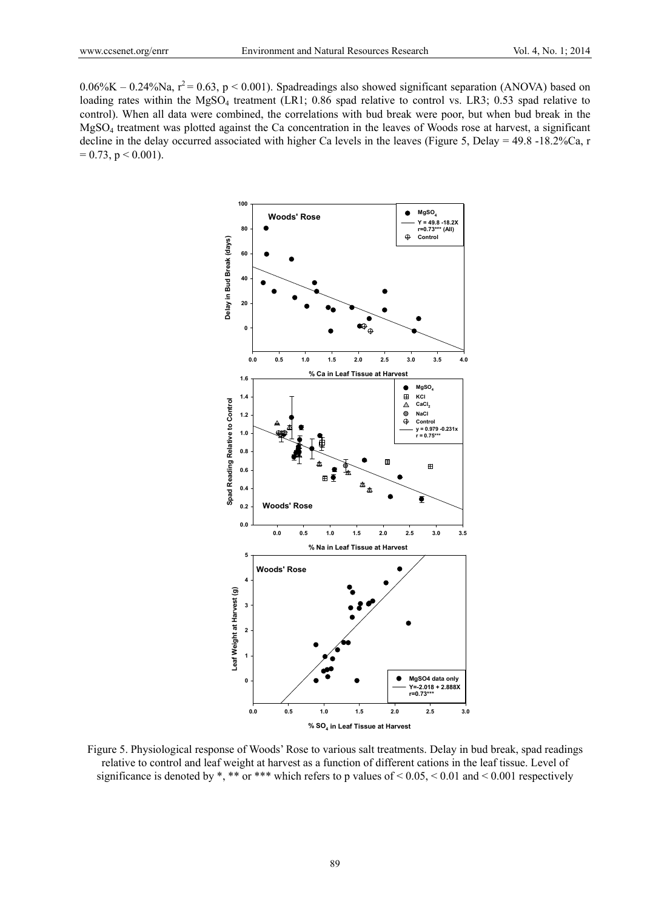$0.06\%K - 0.24\%Na$ ,  $r^2 = 0.63$ , p < 0.001). Spadreadings also showed significant separation (ANOVA) based on loading rates within the MgSO<sub>4</sub> treatment (LR1; 0.86 spad relative to control vs. LR3; 0.53 spad relative to control). When all data were combined, the correlations with bud break were poor, but when bud break in the MgSO4 treatment was plotted against the Ca concentration in the leaves of Woods rose at harvest, a significant decline in the delay occurred associated with higher Ca levels in the leaves (Figure 5, Delay = 49.8 -18.2%Ca, r  $= 0.73$ , p  $< 0.001$ ).



Figure 5. Physiological response of Woods' Rose to various salt treatments. Delay in bud break, spad readings relative to control and leaf weight at harvest as a function of different cations in the leaf tissue. Level of significance is denoted by \*, \*\* or \*\*\* which refers to p values of <  $0.05$ , <  $0.01$  and <  $0.001$  respectively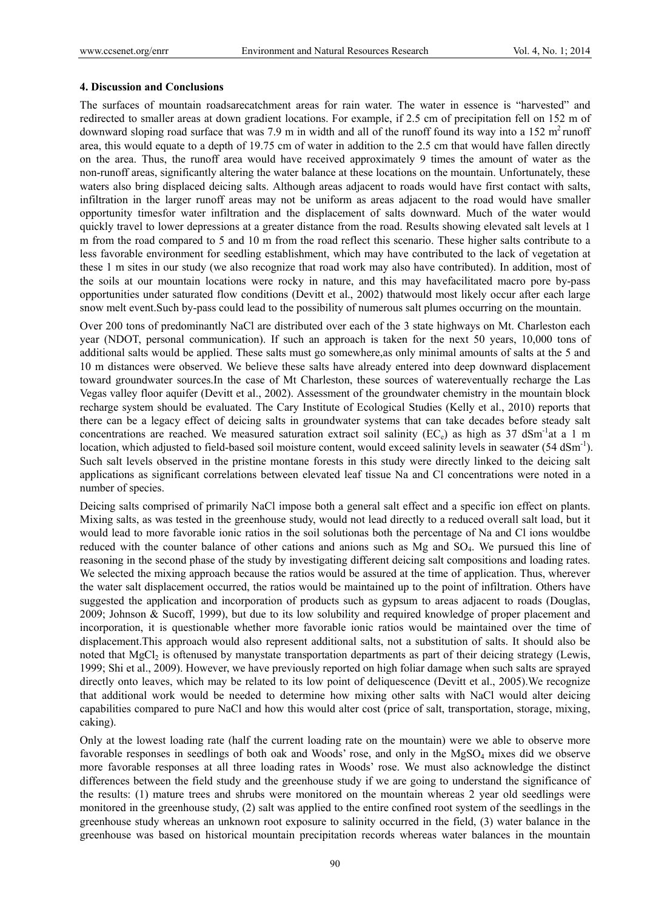#### **4. Discussion and Conclusions**

The surfaces of mountain roadsarecatchment areas for rain water. The water in essence is "harvested" and redirected to smaller areas at down gradient locations. For example, if 2.5 cm of precipitation fell on 152 m of downward sloping road surface that was 7.9 m in width and all of the runoff found its way into a 152  $m<sup>2</sup>$  runoff area, this would equate to a depth of 19.75 cm of water in addition to the 2.5 cm that would have fallen directly on the area. Thus, the runoff area would have received approximately 9 times the amount of water as the non-runoff areas, significantly altering the water balance at these locations on the mountain. Unfortunately, these waters also bring displaced deicing salts. Although areas adjacent to roads would have first contact with salts, infiltration in the larger runoff areas may not be uniform as areas adjacent to the road would have smaller opportunity timesfor water infiltration and the displacement of salts downward. Much of the water would quickly travel to lower depressions at a greater distance from the road. Results showing elevated salt levels at 1 m from the road compared to 5 and 10 m from the road reflect this scenario. These higher salts contribute to a less favorable environment for seedling establishment, which may have contributed to the lack of vegetation at these 1 m sites in our study (we also recognize that road work may also have contributed). In addition, most of the soils at our mountain locations were rocky in nature, and this may havefacilitated macro pore by-pass opportunities under saturated flow conditions (Devitt et al., 2002) thatwould most likely occur after each large snow melt event.Such by-pass could lead to the possibility of numerous salt plumes occurring on the mountain.

Over 200 tons of predominantly NaCl are distributed over each of the 3 state highways on Mt. Charleston each year (NDOT, personal communication). If such an approach is taken for the next 50 years, 10,000 tons of additional salts would be applied. These salts must go somewhere,as only minimal amounts of salts at the 5 and 10 m distances were observed. We believe these salts have already entered into deep downward displacement toward groundwater sources.In the case of Mt Charleston, these sources of watereventually recharge the Las Vegas valley floor aquifer (Devitt et al., 2002). Assessment of the groundwater chemistry in the mountain block recharge system should be evaluated. The Cary Institute of Ecological Studies (Kelly et al., 2010) reports that there can be a legacy effect of deicing salts in groundwater systems that can take decades before steady salt concentrations are reached. We measured saturation extract soil salinity ( $EC_e$ ) as high as 37 dSm<sup>-1</sup>at a 1 m location, which adjusted to field-based soil moisture content, would exceed salinity levels in seawater (54 dSm<sup>-1</sup>). Such salt levels observed in the pristine montane forests in this study were directly linked to the deicing salt applications as significant correlations between elevated leaf tissue Na and Cl concentrations were noted in a number of species.

Deicing salts comprised of primarily NaCl impose both a general salt effect and a specific ion effect on plants. Mixing salts, as was tested in the greenhouse study, would not lead directly to a reduced overall salt load, but it would lead to more favorable ionic ratios in the soil solutionas both the percentage of Na and Cl ions wouldbe reduced with the counter balance of other cations and anions such as Mg and SO4. We pursued this line of reasoning in the second phase of the study by investigating different deicing salt compositions and loading rates. We selected the mixing approach because the ratios would be assured at the time of application. Thus, wherever the water salt displacement occurred, the ratios would be maintained up to the point of infiltration. Others have suggested the application and incorporation of products such as gypsum to areas adjacent to roads (Douglas, 2009; Johnson & Sucoff, 1999), but due to its low solubility and required knowledge of proper placement and incorporation, it is questionable whether more favorable ionic ratios would be maintained over the time of displacement.This approach would also represent additional salts, not a substitution of salts. It should also be noted that MgCl<sub>2</sub> is oftenused by manystate transportation departments as part of their deicing strategy (Lewis, 1999; Shi et al., 2009). However, we have previously reported on high foliar damage when such salts are sprayed directly onto leaves, which may be related to its low point of deliquescence (Devitt et al., 2005).We recognize that additional work would be needed to determine how mixing other salts with NaCl would alter deicing capabilities compared to pure NaCl and how this would alter cost (price of salt, transportation, storage, mixing, caking).

Only at the lowest loading rate (half the current loading rate on the mountain) were we able to observe more favorable responses in seedlings of both oak and Woods' rose, and only in the  $MgSO<sub>4</sub>$  mixes did we observe more favorable responses at all three loading rates in Woods' rose. We must also acknowledge the distinct differences between the field study and the greenhouse study if we are going to understand the significance of the results: (1) mature trees and shrubs were monitored on the mountain whereas 2 year old seedlings were monitored in the greenhouse study, (2) salt was applied to the entire confined root system of the seedlings in the greenhouse study whereas an unknown root exposure to salinity occurred in the field, (3) water balance in the greenhouse was based on historical mountain precipitation records whereas water balances in the mountain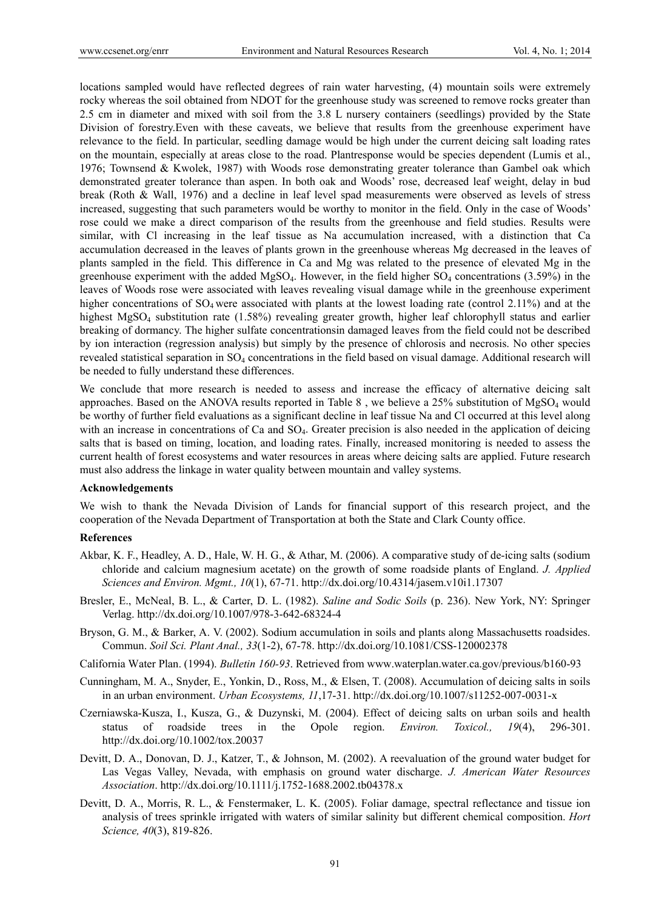locations sampled would have reflected degrees of rain water harvesting, (4) mountain soils were extremely rocky whereas the soil obtained from NDOT for the greenhouse study was screened to remove rocks greater than 2.5 cm in diameter and mixed with soil from the 3.8 L nursery containers (seedlings) provided by the State Division of forestry.Even with these caveats, we believe that results from the greenhouse experiment have relevance to the field. In particular, seedling damage would be high under the current deicing salt loading rates on the mountain, especially at areas close to the road. Plantresponse would be species dependent (Lumis et al., 1976; Townsend & Kwolek, 1987) with Woods rose demonstrating greater tolerance than Gambel oak which demonstrated greater tolerance than aspen. In both oak and Woods' rose, decreased leaf weight, delay in bud break (Roth & Wall, 1976) and a decline in leaf level spad measurements were observed as levels of stress increased, suggesting that such parameters would be worthy to monitor in the field. Only in the case of Woods' rose could we make a direct comparison of the results from the greenhouse and field studies. Results were similar, with Cl increasing in the leaf tissue as Na accumulation increased, with a distinction that Ca accumulation decreased in the leaves of plants grown in the greenhouse whereas Mg decreased in the leaves of plants sampled in the field. This difference in Ca and Mg was related to the presence of elevated Mg in the greenhouse experiment with the added MgSO<sub>4</sub>. However, in the field higher  $SO<sub>4</sub>$  concentrations (3.59%) in the leaves of Woods rose were associated with leaves revealing visual damage while in the greenhouse experiment higher concentrations of SO<sub>4</sub> were associated with plants at the lowest loading rate (control 2.11%) and at the highest MgSO<sub>4</sub> substitution rate (1.58%) revealing greater growth, higher leaf chlorophyll status and earlier breaking of dormancy. The higher sulfate concentrationsin damaged leaves from the field could not be described by ion interaction (regression analysis) but simply by the presence of chlorosis and necrosis. No other species revealed statistical separation in SO4 concentrations in the field based on visual damage. Additional research will be needed to fully understand these differences.

We conclude that more research is needed to assess and increase the efficacy of alternative deicing salt approaches. Based on the ANOVA results reported in Table 8 , we believe a 25% substitution of MgSO4 would be worthy of further field evaluations as a significant decline in leaf tissue Na and Cl occurred at this level along with an increase in concentrations of Ca and SO<sub>4</sub>. Greater precision is also needed in the application of deicing salts that is based on timing, location, and loading rates. Finally, increased monitoring is needed to assess the current health of forest ecosystems and water resources in areas where deicing salts are applied. Future research must also address the linkage in water quality between mountain and valley systems.

#### **Acknowledgements**

We wish to thank the Nevada Division of Lands for financial support of this research project, and the cooperation of the Nevada Department of Transportation at both the State and Clark County office.

### **References**

- Akbar, K. F., Headley, A. D., Hale, W. H. G., & Athar, M. (2006). A comparative study of de-icing salts (sodium chloride and calcium magnesium acetate) on the growth of some roadside plants of England. *J. Applied Sciences and Environ. Mgmt., 10*(1), 67-71. http://dx.doi.org/10.4314/jasem.v10i1.17307
- Bresler, E., McNeal, B. L., & Carter, D. L. (1982). *Saline and Sodic Soils* (p. 236). New York, NY: Springer Verlag. http://dx.doi.org/10.1007/978-3-642-68324-4
- Bryson, G. M., & Barker, A. V. (2002). Sodium accumulation in soils and plants along Massachusetts roadsides. Commun. *Soil Sci. Plant Anal., 33*(1-2), 67-78. http://dx.doi.org/10.1081/CSS-120002378
- California Water Plan. (1994). *Bulletin 160-93*. Retrieved from www.waterplan.water.ca.gov/previous/b160-93
- Cunningham, M. A., Snyder, E., Yonkin, D., Ross, M., & Elsen, T. (2008). Accumulation of deicing salts in soils in an urban environment. *Urban Ecosystems, 11*,17-31. http://dx.doi.org/10.1007/s11252-007-0031-x
- Czerniawska-Kusza, I., Kusza, G., & Duzynski, M. (2004). Effect of deicing salts on urban soils and health status of roadside trees in the Opole region. *Environ. Toxicol., 19*(4), 296-301. http://dx.doi.org/10.1002/tox.20037
- Devitt, D. A., Donovan, D. J., Katzer, T., & Johnson, M. (2002). A reevaluation of the ground water budget for Las Vegas Valley, Nevada, with emphasis on ground water discharge. *J. American Water Resources Association*. http://dx.doi.org/10.1111/j.1752-1688.2002.tb04378.x
- Devitt, D. A., Morris, R. L., & Fenstermaker, L. K. (2005). Foliar damage, spectral reflectance and tissue ion analysis of trees sprinkle irrigated with waters of similar salinity but different chemical composition. *Hort Science, 40*(3), 819-826.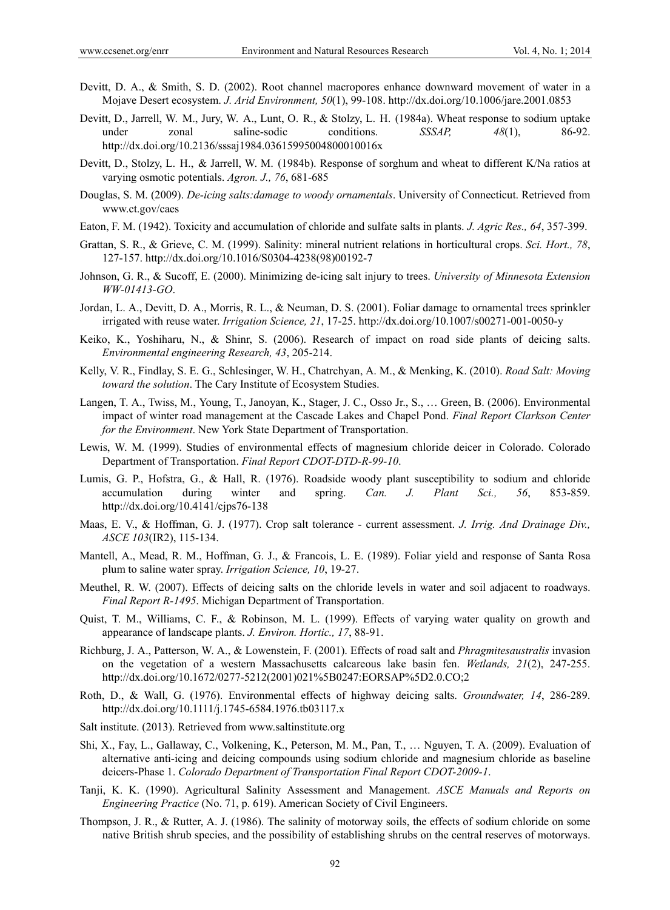- Devitt, D. A., & Smith, S. D. (2002). Root channel macropores enhance downward movement of water in a Mojave Desert ecosystem. *J. Arid Environment, 50*(1), 99-108. http://dx.doi.org/10.1006/jare.2001.0853
- Devitt, D., Jarrell, W. M., Jury, W. A., Lunt, O. R., & Stolzy, L. H. (1984a). Wheat response to sodium uptake under zonal saline-sodic conditions. *SSSAP, 48*(1), 86-92. http://dx.doi.org/10.2136/sssaj1984.03615995004800010016x
- Devitt, D., Stolzy, L. H., & Jarrell, W. M. (1984b). Response of sorghum and wheat to different K/Na ratios at varying osmotic potentials. *Agron. J., 76*, 681-685
- Douglas, S. M. (2009). *De-icing salts:damage to woody ornamentals*. University of Connecticut. Retrieved from www.ct.gov/caes
- Eaton, F. M. (1942). Toxicity and accumulation of chloride and sulfate salts in plants. *J. Agric Res., 64*, 357-399.
- Grattan, S. R., & Grieve, C. M. (1999). Salinity: mineral nutrient relations in horticultural crops. *Sci. Hort., 78*, 127-157. http://dx.doi.org/10.1016/S0304-4238(98)00192-7
- Johnson, G. R., & Sucoff, E. (2000). Minimizing de-icing salt injury to trees. *University of Minnesota Extension WW-01413-GO*.
- Jordan, L. A., Devitt, D. A., Morris, R. L., & Neuman, D. S. (2001). Foliar damage to ornamental trees sprinkler irrigated with reuse water. *Irrigation Science, 21*, 17-25. http://dx.doi.org/10.1007/s00271-001-0050-y
- Keiko, K., Yoshiharu, N., & Shinr, S. (2006). Research of impact on road side plants of deicing salts. *Environmental engineering Research, 43*, 205-214.
- Kelly, V. R., Findlay, S. E. G., Schlesinger, W. H., Chatrchyan, A. M., & Menking, K. (2010). *Road Salt: Moving toward the solution*. The Cary Institute of Ecosystem Studies.
- Langen, T. A., Twiss, M., Young, T., Janoyan, K., Stager, J. C., Osso Jr., S., … Green, B. (2006). Environmental impact of winter road management at the Cascade Lakes and Chapel Pond. *Final Report Clarkson Center for the Environment*. New York State Department of Transportation.
- Lewis, W. M. (1999). Studies of environmental effects of magnesium chloride deicer in Colorado. Colorado Department of Transportation. *Final Report CDOT-DTD-R-99-10*.
- Lumis, G. P., Hofstra, G., & Hall, R. (1976). Roadside woody plant susceptibility to sodium and chloride accumulation during winter and spring. *Can. J. Plant Sci., 56*, 853-859. http://dx.doi.org/10.4141/cjps76-138
- Maas, E. V., & Hoffman, G. J. (1977). Crop salt tolerance current assessment. *J. Irrig. And Drainage Div., ASCE 103*(IR2), 115-134.
- Mantell, A., Mead, R. M., Hoffman, G. J., & Francois, L. E. (1989). Foliar yield and response of Santa Rosa plum to saline water spray. *Irrigation Science, 10*, 19-27.
- Meuthel, R. W. (2007). Effects of deicing salts on the chloride levels in water and soil adjacent to roadways. *Final Report R-1495*. Michigan Department of Transportation.
- Quist, T. M., Williams, C. F., & Robinson, M. L. (1999). Effects of varying water quality on growth and appearance of landscape plants. *J. Environ. Hortic., 17*, 88-91.
- Richburg, J. A., Patterson, W. A., & Lowenstein, F. (2001). Effects of road salt and *Phragmitesaustralis* invasion on the vegetation of a western Massachusetts calcareous lake basin fen. *Wetlands, 21*(2), 247-255. http://dx.doi.org/10.1672/0277-5212(2001)021%5B0247:EORSAP%5D2.0.CO;2
- Roth, D., & Wall, G. (1976). Environmental effects of highway deicing salts. *Groundwater, 14*, 286-289. http://dx.doi.org/10.1111/j.1745-6584.1976.tb03117.x
- Salt institute. (2013). Retrieved from www.saltinstitute.org
- Shi, X., Fay, L., Gallaway, C., Volkening, K., Peterson, M. M., Pan, T., … Nguyen, T. A. (2009). Evaluation of alternative anti-icing and deicing compounds using sodium chloride and magnesium chloride as baseline deicers-Phase 1. *Colorado Department of Transportation Final Report CDOT-2009-1*.
- Tanji, K. K. (1990). Agricultural Salinity Assessment and Management. *ASCE Manuals and Reports on Engineering Practice* (No. 71, p. 619). American Society of Civil Engineers.
- Thompson, J. R., & Rutter, A. J. (1986). The salinity of motorway soils, the effects of sodium chloride on some native British shrub species, and the possibility of establishing shrubs on the central reserves of motorways.